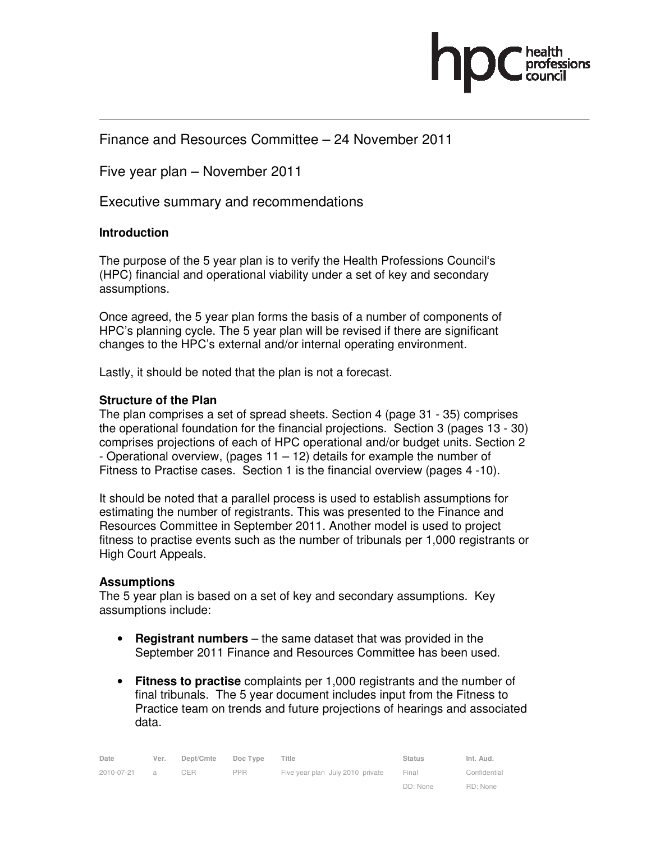

### Finance and Resources Committee – 24 November 2011

Five year plan – November 2011

Executive summary and recommendations

#### **Introduction**

The purpose of the 5 year plan is to verify the Health Professions Council's (HPC) financial and operational viability under a set of key and secondary assumptions.

Once agreed, the 5 year plan forms the basis of a number of components of HPC's planning cycle. The 5 year plan will be revised if there are significant changes to the HPC's external and/or internal operating environment.

Lastly, it should be noted that the plan is not a forecast.

#### **Structure of the Plan**

The plan comprises a set of spread sheets. Section 4 (page 31 - 35) comprises the operational foundation for the financial projections. Section 3 (pages 13 - 30) comprises projections of each of HPC operational and/or budget units. Section 2 - Operational overview, (pages 11 – 12) details for example the number of Fitness to Practise cases. Section 1 is the financial overview (pages 4 -10).

It should be noted that a parallel process is used to establish assumptions for estimating the number of registrants. This was presented to the Finance and Resources Committee in September 2011. Another model is used to project fitness to practise events such as the number of tribunals per 1,000 registrants or High Court Appeals.

#### **Assumptions**

The 5 year plan is based on a set of key and secondary assumptions. Key assumptions include:

- **Registrant numbers**  the same dataset that was provided in the September 2011 Finance and Resources Committee has been used.
- **Fitness to practise** complaints per 1,000 registrants and the number of final tribunals. The 5 year document includes input from the Fitness to Practice team on trends and future projections of hearings and associated data.

| Date       | Ver. | Dept/Cmte | Doc Type   | Title                            | <b>Status</b> | Int. Aud.    |
|------------|------|-----------|------------|----------------------------------|---------------|--------------|
| 2010-07-21 |      | CER       | <b>PPR</b> | Five year plan July 2010 private | Final         | Confidential |
|            |      |           |            |                                  | DD: None      | RD: None     |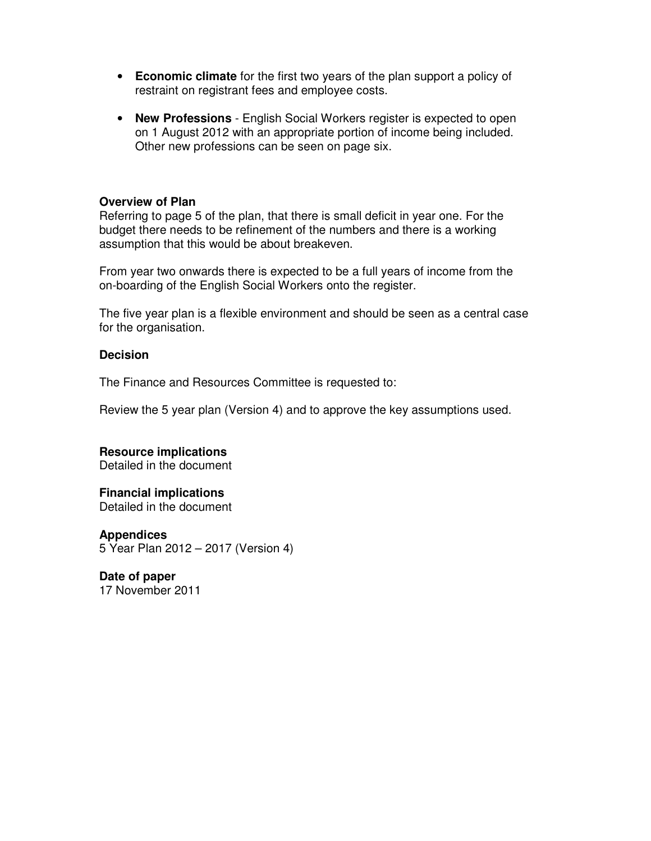- **Economic climate** for the first two years of the plan support a policy of restraint on registrant fees and employee costs.
- **New Professions** English Social Workers register is expected to open on 1 August 2012 with an appropriate portion of income being included. Other new professions can be seen on page six.

#### **Overview of Plan**

Referring to page 5 of the plan, that there is small deficit in year one. For the budget there needs to be refinement of the numbers and there is a working assumption that this would be about breakeven.

From year two onwards there is expected to be a full years of income from the on-boarding of the English Social Workers onto the register.

The five year plan is a flexible environment and should be seen as a central case for the organisation.

#### **Decision**

The Finance and Resources Committee is requested to:

Review the 5 year plan (Version 4) and to approve the key assumptions used.

**Resource implications**  Detailed in the document

## **Financial implications**

Detailed in the document

**Appendices**  5 Year Plan 2012 – 2017 (Version 4)

**Date of paper**  17 November 2011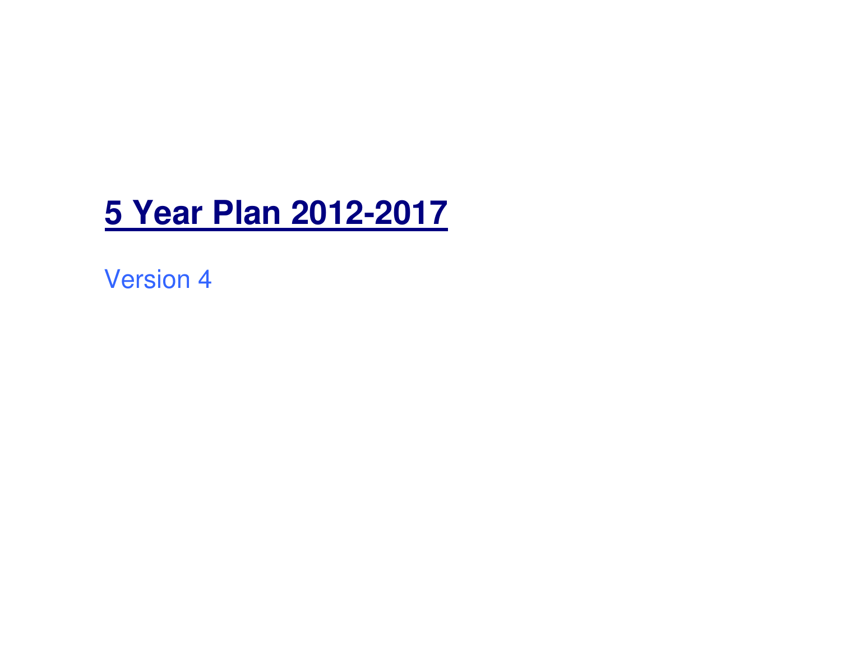# **5 Year Plan 2012-2017**

Version 4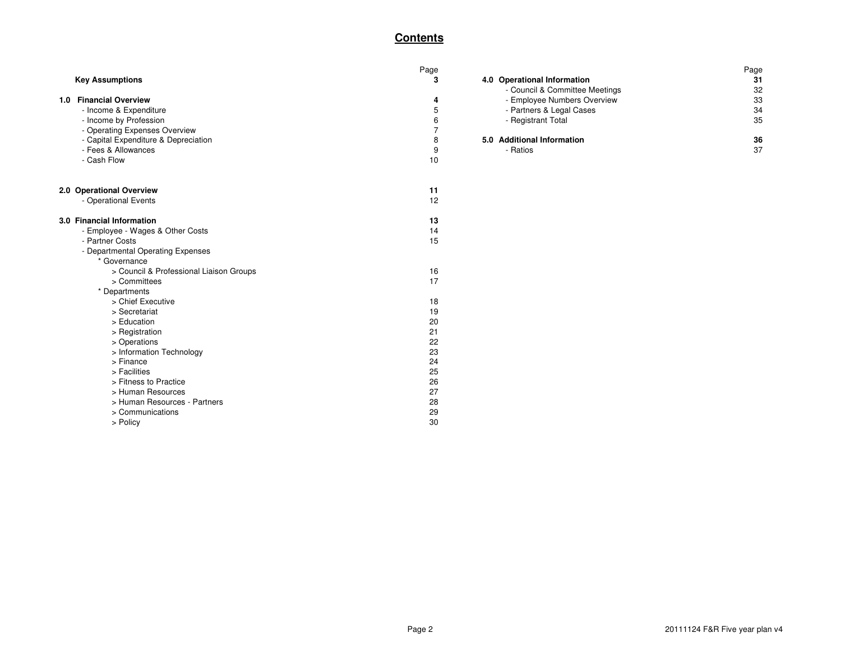#### **Contents**

|                                      |                                                                                                                                                                                                                                                                                                                                                                                                                                                      |                                                                                                                       | Page                                    |
|--------------------------------------|------------------------------------------------------------------------------------------------------------------------------------------------------------------------------------------------------------------------------------------------------------------------------------------------------------------------------------------------------------------------------------------------------------------------------------------------------|-----------------------------------------------------------------------------------------------------------------------|-----------------------------------------|
| <b>Key Assumptions</b>               | 3                                                                                                                                                                                                                                                                                                                                                                                                                                                    | 4.0 Operational Information                                                                                           | 31                                      |
|                                      |                                                                                                                                                                                                                                                                                                                                                                                                                                                      | - Council & Committee Meetings                                                                                        | 32                                      |
| 1.0 Financial Overview               | 4                                                                                                                                                                                                                                                                                                                                                                                                                                                    |                                                                                                                       | 33                                      |
| - Income & Expenditure               | 5                                                                                                                                                                                                                                                                                                                                                                                                                                                    | - Partners & Legal Cases                                                                                              | 34                                      |
| - Income by Profession               | 6                                                                                                                                                                                                                                                                                                                                                                                                                                                    | - Registrant Total                                                                                                    | 35                                      |
| - Operating Expenses Overview        | $\overline{7}$                                                                                                                                                                                                                                                                                                                                                                                                                                       |                                                                                                                       |                                         |
| - Capital Expenditure & Depreciation | 8                                                                                                                                                                                                                                                                                                                                                                                                                                                    | 5.0 Additional Information                                                                                            | 36                                      |
|                                      |                                                                                                                                                                                                                                                                                                                                                                                                                                                      |                                                                                                                       | 37                                      |
|                                      |                                                                                                                                                                                                                                                                                                                                                                                                                                                      |                                                                                                                       |                                         |
| 2.0 Operational Overview             | 11                                                                                                                                                                                                                                                                                                                                                                                                                                                   |                                                                                                                       |                                         |
| - Operational Events                 | 12                                                                                                                                                                                                                                                                                                                                                                                                                                                   |                                                                                                                       |                                         |
| 3.0 Financial Information            | 13                                                                                                                                                                                                                                                                                                                                                                                                                                                   |                                                                                                                       |                                         |
| - Employee - Wages & Other Costs     |                                                                                                                                                                                                                                                                                                                                                                                                                                                      |                                                                                                                       |                                         |
|                                      |                                                                                                                                                                                                                                                                                                                                                                                                                                                      |                                                                                                                       |                                         |
|                                      |                                                                                                                                                                                                                                                                                                                                                                                                                                                      |                                                                                                                       |                                         |
|                                      |                                                                                                                                                                                                                                                                                                                                                                                                                                                      |                                                                                                                       |                                         |
|                                      |                                                                                                                                                                                                                                                                                                                                                                                                                                                      |                                                                                                                       |                                         |
|                                      |                                                                                                                                                                                                                                                                                                                                                                                                                                                      |                                                                                                                       |                                         |
|                                      |                                                                                                                                                                                                                                                                                                                                                                                                                                                      |                                                                                                                       |                                         |
|                                      |                                                                                                                                                                                                                                                                                                                                                                                                                                                      |                                                                                                                       |                                         |
|                                      |                                                                                                                                                                                                                                                                                                                                                                                                                                                      |                                                                                                                       |                                         |
|                                      |                                                                                                                                                                                                                                                                                                                                                                                                                                                      |                                                                                                                       |                                         |
|                                      |                                                                                                                                                                                                                                                                                                                                                                                                                                                      |                                                                                                                       |                                         |
|                                      |                                                                                                                                                                                                                                                                                                                                                                                                                                                      |                                                                                                                       |                                         |
|                                      |                                                                                                                                                                                                                                                                                                                                                                                                                                                      |                                                                                                                       |                                         |
|                                      |                                                                                                                                                                                                                                                                                                                                                                                                                                                      |                                                                                                                       |                                         |
|                                      |                                                                                                                                                                                                                                                                                                                                                                                                                                                      |                                                                                                                       |                                         |
|                                      |                                                                                                                                                                                                                                                                                                                                                                                                                                                      |                                                                                                                       |                                         |
|                                      |                                                                                                                                                                                                                                                                                                                                                                                                                                                      |                                                                                                                       |                                         |
|                                      |                                                                                                                                                                                                                                                                                                                                                                                                                                                      |                                                                                                                       |                                         |
|                                      |                                                                                                                                                                                                                                                                                                                                                                                                                                                      |                                                                                                                       |                                         |
|                                      |                                                                                                                                                                                                                                                                                                                                                                                                                                                      |                                                                                                                       |                                         |
|                                      | - Fees & Allowances<br>- Cash Flow<br>- Partner Costs<br>- Departmental Operating Expenses<br>* Governance<br>> Council & Professional Liaison Groups<br>> Committees<br>* Departments<br>> Chief Executive<br>> Secretariat<br>> Education<br>> Registration<br>> Operations<br>> Information Technology<br>> Finance<br>> Facilities<br>> Fitness to Practice<br>> Human Resources<br>> Human Resources - Partners<br>> Communications<br>> Policy | Page<br>9<br>10<br>14<br>15<br>16<br>17<br>18<br>19<br>20<br>21<br>22<br>23<br>24<br>25<br>26<br>27<br>28<br>29<br>30 | - Employee Numbers Overview<br>- Ratios |

|                     | Page |                                | Page |
|---------------------|------|--------------------------------|------|
|                     |      | 4.0 Operational Information    | 31   |
|                     |      | - Council & Committee Meetings | 32   |
| w                   |      | - Employee Numbers Overview    | 33   |
| diture              |      | - Partners & Legal Cases       | 34   |
| ssion               |      | - Registrant Total             | 35   |
| nses Overview       |      |                                |      |
| ture & Depreciation |      | 5.0 Additional Information     | 36   |
| ces:                |      | - Ratios                       | 37   |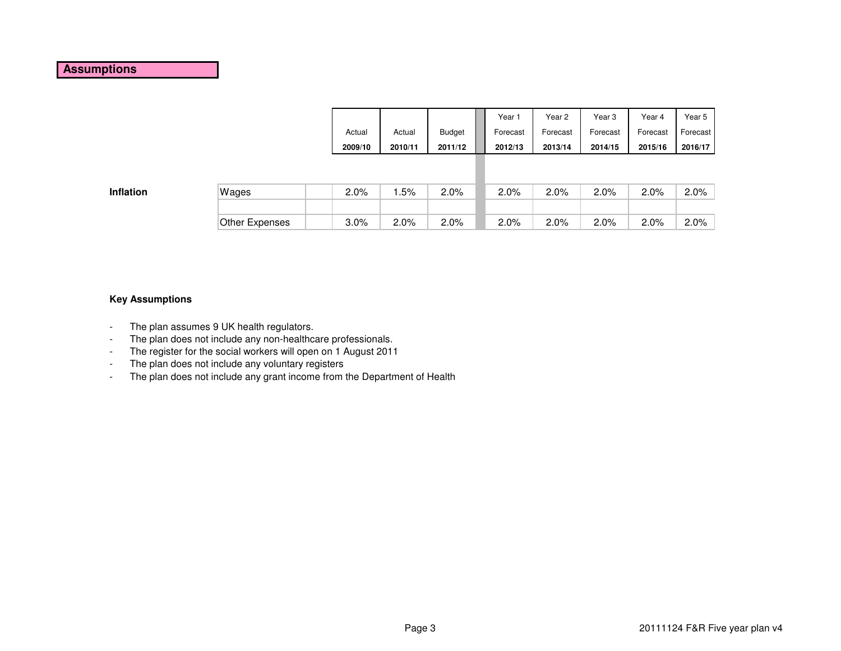|         |         |               | Year 1   | Year 2   | Year 3   | Year 4   | Year 5   |
|---------|---------|---------------|----------|----------|----------|----------|----------|
| Actual  | Actual  | <b>Budget</b> | Forecast | Forecast | Forecast | Forecast | Forecast |
| 2009/10 | 2010/11 | 2011/12       | 2012/13  | 2013/14  | 2014/15  | 2015/16  | 2016/17  |
|         |         |               |          |          |          |          |          |
|         |         |               |          |          |          |          |          |

| Wages          | $2.0\%$ | .5%     | 2.0% | 2.0% | 2.0% | 2.0% | 2.0% | $2.0\%$ |
|----------------|---------|---------|------|------|------|------|------|---------|
|                |         |         |      |      |      |      |      |         |
| Other Expenses | $3.0\%$ | $2.0\%$ | 2.0% | 2.0% | 2.0% | 2.0% | 2.0% | $2.0\%$ |

#### **Key Assumptions**

**Inflation**

- -The plan assumes 9 UK health regulators.
- -The plan does not include any non-healthcare professionals.
- -The register for the social workers will open on 1 August 2011
- -The plan does not include any voluntary registers
- The plan does not include any grant income from the Department of Health-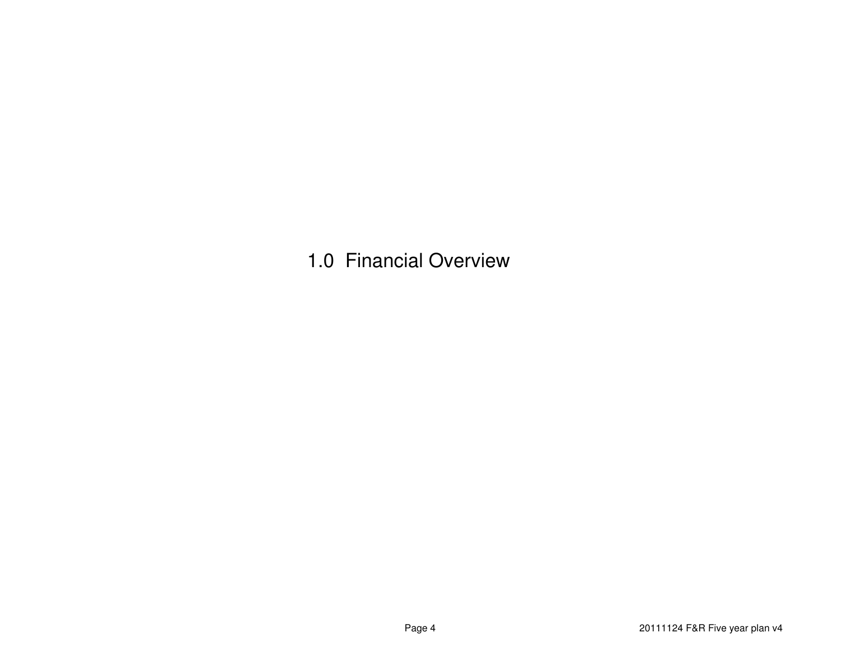1.0 Financial Overview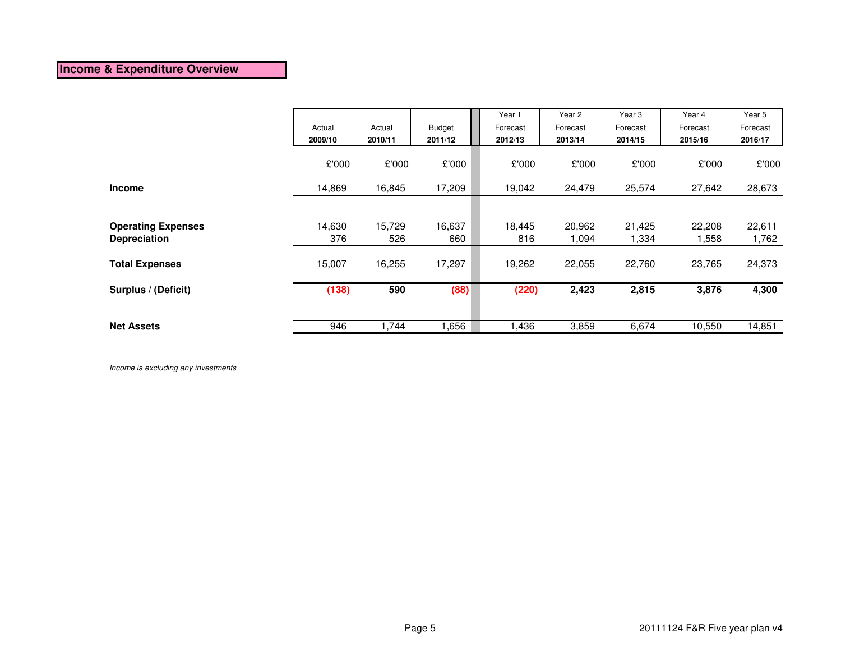#### **Income & Expenditure Overview**

|                           | Actual<br>2009/10 | Actual<br>2010/11 | Budget<br>2011/12 | Year 1<br>Forecast<br>2012/13 | Year 2<br>Forecast<br>2013/14 | Year 3<br>Forecast<br>2014/15 | Year 4<br>Forecast<br>2015/16 | Year 5<br>Forecast<br>2016/17 |
|---------------------------|-------------------|-------------------|-------------------|-------------------------------|-------------------------------|-------------------------------|-------------------------------|-------------------------------|
|                           | £'000             | £'000             | £'000             | £'000                         | £'000                         | £'000                         | £'000                         | £'000                         |
| <b>Income</b>             | 14,869            | 16,845            | 17,209            | 19,042                        | 24,479                        | 25,574                        | 27,642                        | 28,673                        |
|                           |                   |                   |                   |                               |                               |                               |                               |                               |
| <b>Operating Expenses</b> | 14,630            | 15,729            | 16,637            | 18,445                        | 20,962                        | 21,425                        | 22,208                        | 22,611                        |
| <b>Depreciation</b>       | 376               | 526               | 660               | 816                           | 1,094                         | 1,334                         | 1,558                         | 1,762                         |
| <b>Total Expenses</b>     | 15,007            | 16,255            | 17,297            | 19,262                        | 22,055                        | 22,760                        | 23,765                        | 24,373                        |
| Surplus / (Deficit)       | (138)             | 590               | (88)              | (220)                         | 2,423                         | 2,815                         | 3,876                         | 4,300                         |
|                           |                   |                   |                   |                               |                               |                               |                               |                               |
| <b>Net Assets</b>         | 946               | 1,744             | 1,656             | 1,436                         | 3,859                         | 6,674                         | 10,550                        | 14,851                        |

Income is excluding any investments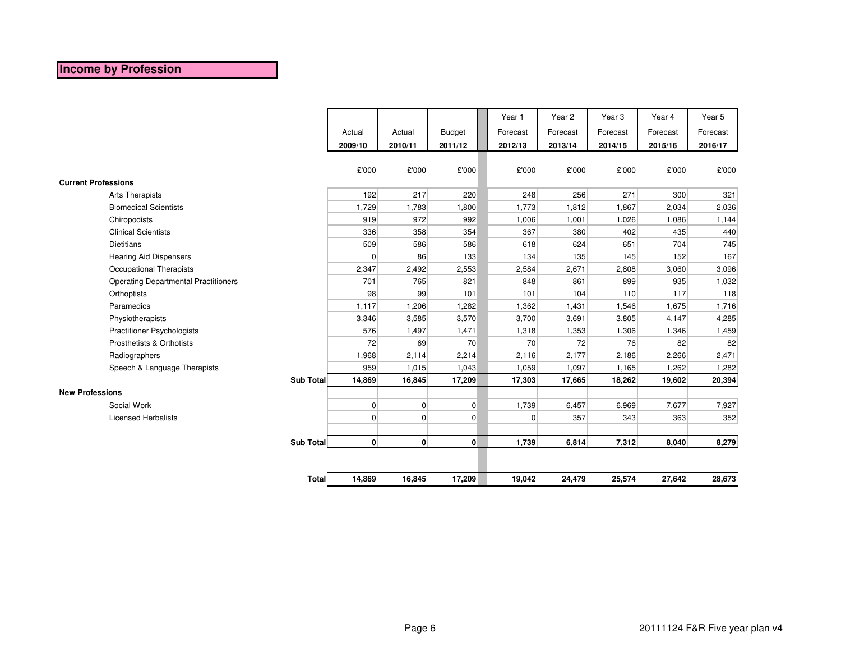# **Income by Profession**

|                                             |              |              |                |               | Year 1   |                | Year 2   | Year <sub>3</sub> | Year 4   | Year 5   |
|---------------------------------------------|--------------|--------------|----------------|---------------|----------|----------------|----------|-------------------|----------|----------|
|                                             |              | Actual       | Actual         | <b>Budget</b> | Forecast |                | Forecast | Forecast          | Forecast | Forecast |
|                                             |              | 2009/10      | 2010/11        | 2011/12       | 2012/13  |                | 2013/14  | 2014/15           | 2015/16  | 2016/17  |
|                                             |              |              |                |               |          |                |          |                   |          |          |
|                                             |              | £'000        | £'000          | £'000         |          | £'000          | £'000    | £'000             | £'000    | £'000    |
| <b>Current Professions</b>                  |              |              |                |               |          |                |          |                   |          |          |
| Arts Therapists                             |              | 192          | 217            | 220           |          | 248            | 256      | 271               | 300      | 321      |
| <b>Biomedical Scientists</b>                |              | 1,729        | 1,783          | 1,800         |          | 1,773          | 1,812    | 1,867             | 2,034    | 2,036    |
| Chiropodists                                |              | 919          | 972            | 992           |          | 1,006          | 1,001    | 1,026             | 1,086    | 1,144    |
| <b>Clinical Scientists</b>                  |              | 336          | 358            | 354           |          | 367            | 380      | 402               | 435      | 440      |
| <b>Dietitians</b>                           |              | 509          | 586            | 586           |          | 618            | 624      | 651               | 704      | 745      |
| <b>Hearing Aid Dispensers</b>               |              | 0            | 86             | 133           |          | 134            | 135      | 145               | 152      | 167      |
| Occupational Therapists                     |              | 2,347        | 2,492          | 2,553         |          | 2,584          | 2,671    | 2,808             | 3,060    | 3,096    |
| <b>Operating Departmental Practitioners</b> |              | 701          | 765            | 821           |          | 848            | 861      | 899               | 935      | 1,032    |
| Orthoptists                                 |              | 98           | 99             | 101           |          | 101            | 104      | 110               | 117      | 118      |
| Paramedics                                  |              | 1,117        | 1,206          | 1,282         |          | 1,362          | 1,431    | 1,546             | 1,675    | 1,716    |
| Physiotherapists                            |              | 3,346        | 3,585          | 3,570         |          | 3,700          | 3,691    | 3,805             | 4,147    | 4,285    |
| <b>Practitioner Psychologists</b>           |              | 576          | 1,497          | 1,471         |          | 1,318          | 1,353    | 1,306             | 1,346    | 1,459    |
| Prosthetists & Orthotists                   |              | 72           | 69             | 70            |          | 70             | 72       | 76                | 82       | 82       |
| Radiographers                               |              | 1,968        | 2,114          | 2,214         |          | 2,116          | 2,177    | 2,186             | 2,266    | 2,471    |
| Speech & Language Therapists                |              | 959          | 1,015          | 1,043         |          | 1,059          | 1,097    | 1,165             | 1,262    | 1,282    |
|                                             | Sub Total    | 14,869       | 16,845         | 17,209        |          | 17,303         | 17,665   | 18,262            | 19,602   | 20,394   |
| <b>New Professions</b>                      |              |              |                |               |          |                |          |                   |          |          |
| Social Work                                 |              | $\mathbf 0$  | $\overline{0}$ | $\mathbf 0$   |          | 1,739          | 6,457    | 6,969             | 7,677    | 7,927    |
| <b>Licensed Herbalists</b>                  |              | $\mathbf 0$  | $\overline{0}$ | 0             |          | $\overline{0}$ | 357      | 343               | 363      | 352      |
|                                             |              |              |                |               |          |                |          |                   |          |          |
|                                             | Sub Total    | $\mathbf{0}$ | $\mathbf{0}$   | $\mathbf{0}$  |          | 1,739          | 6,814    | 7,312             | 8,040    | 8,279    |
|                                             |              |              |                |               |          |                |          |                   |          |          |
|                                             | <b>Total</b> | 14,869       | 16,845         | 17,209        |          | 19,042         | 24,479   | 25,574            | 27,642   | 28,673   |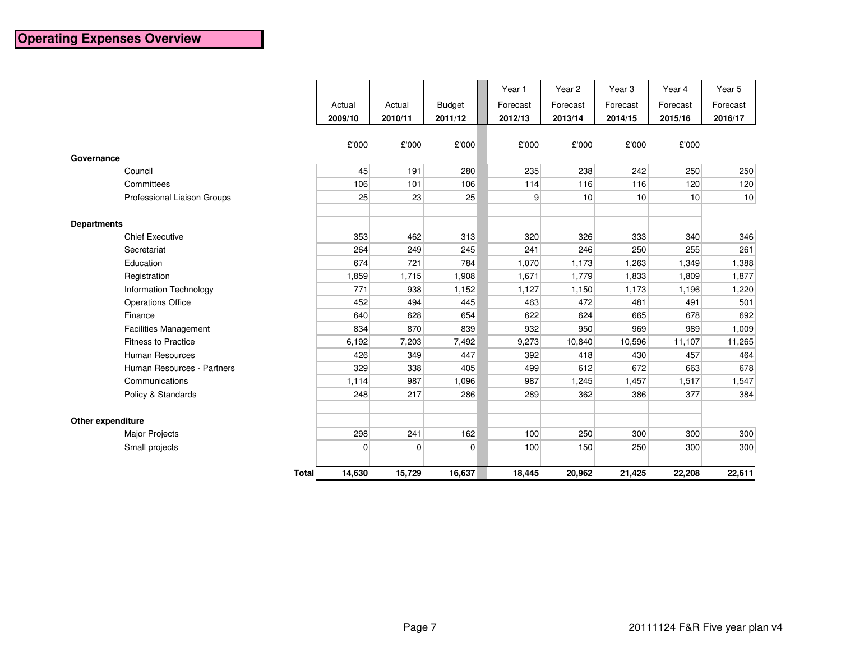|                               |         |         |                | Year 1         | Year <sub>2</sub> | Year <sub>3</sub> | Year 4   | Year 5   |
|-------------------------------|---------|---------|----------------|----------------|-------------------|-------------------|----------|----------|
|                               | Actual  | Actual  | <b>Budget</b>  | Forecast       | Forecast          | Forecast          | Forecast | Forecast |
|                               | 2009/10 | 2010/11 | 2011/12        | 2012/13        | 2013/14           | 2014/15           | 2015/16  | 2016/17  |
|                               |         |         |                |                |                   |                   |          |          |
|                               | £'000   | £'000   | £'000          | £'000          | £'000             | £'000             | £'000    |          |
| Governance                    |         |         |                |                |                   |                   |          |          |
| Council                       | 45      | 191     | 280            | 235            | 238               | 242               | 250      | 250      |
| Committees                    | 106     | 101     | 106            | 114            | 116               | 116               | 120      | 120      |
| Professional Liaison Groups   | 25      | 23      | 25             | $\overline{9}$ | 10 <sup>1</sup>   | 10                | 10       | 10       |
|                               |         |         |                |                |                   |                   |          |          |
| <b>Departments</b>            |         |         |                |                |                   |                   |          |          |
| <b>Chief Executive</b>        | 353     | 462     | 313            | 320            | 326               | 333               | 340      | 346      |
| Secretariat                   | 264     | 249     | 245            | 241            | 246               | 250               | 255      | 261      |
| Education                     | 674     | 721     | 784            | 1,070          | 1,173             | 1,263             | 1,349    | 1,388    |
| Registration                  | 1,859   | 1,715   | 1,908          | 1,671          | 1,779             | 1,833             | 1,809    | 1,877    |
| <b>Information Technology</b> | 771     | 938     | 1,152          | 1,127          | 1,150             | 1,173             | 1,196    | 1,220    |
| <b>Operations Office</b>      | 452     | 494     | 445            | 463            | 472               | 481               | 491      | 501      |
| Finance                       | 640     | 628     | 654            | 622            | 624               | 665               | 678      | 692      |
| <b>Facilities Management</b>  | 834     | 870     | 839            | 932            | 950               | 969               | 989      | 1,009    |
| <b>Fitness to Practice</b>    | 6,192   | 7,203   | 7,492          | 9,273          | 10,840            | 10,596            | 11,107   | 11,265   |
| Human Resources               | 426     | 349     | 447            | 392            | 418               | 430               | 457      | 464      |
| Human Resources - Partners    | 329     | 338     | 405            | 499            | 612               | 672               | 663      | 678      |
| Communications                | 1,114   | 987     | 1,096          | 987            | 1,245             | 1,457             | 1,517    | 1,547    |
| Policy & Standards            | 248     | 217     | 286            | 289            | 362               | 386               | 377      | 384      |
|                               |         |         |                |                |                   |                   |          |          |
| Other expenditure             |         |         |                |                |                   |                   |          |          |
| <b>Major Projects</b>         | 298     | 241     | 162            | 100            | 250               | 300               | 300      | 300      |
| Small projects                | 0       | 0       | $\overline{0}$ | 100            | 150               | 250               | 300      | 300      |
| <b>Total</b>                  | 14,630  | 15,729  | 16,637         | 18,445         | 20,962            | 21,425            | 22,208   | 22,611   |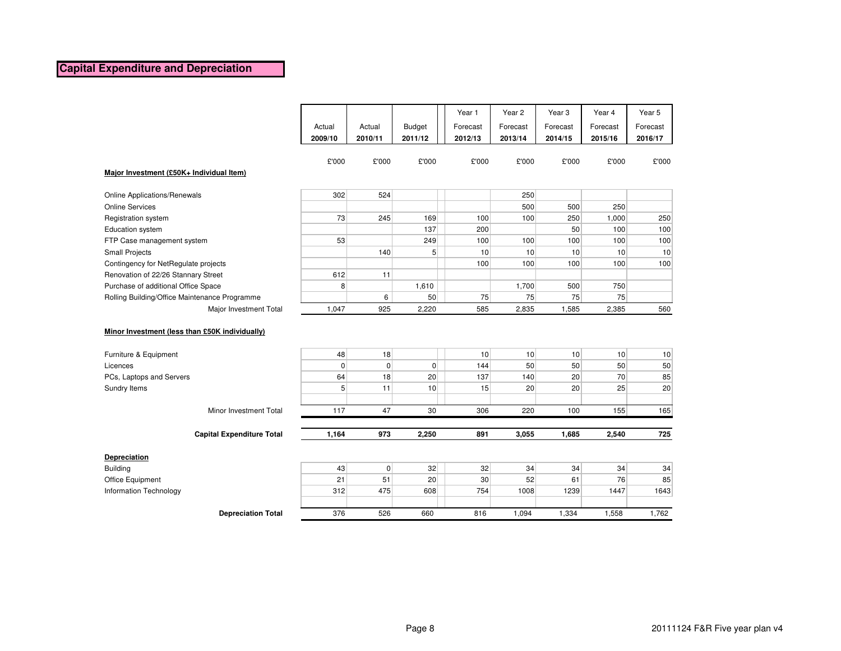#### **Capital Expenditure and Depreciation**

|                                                |                   |                      |                          | Year 1              | Year 2              | Year <sub>3</sub>     | Year 4              | Year 5<br>Forecast |
|------------------------------------------------|-------------------|----------------------|--------------------------|---------------------|---------------------|-----------------------|---------------------|--------------------|
|                                                | Actual<br>2009/10 | Actual<br>2010/11    | <b>Budget</b><br>2011/12 | Forecast<br>2012/13 | Forecast<br>2013/14 | Forecast<br>2014/15   | Forecast<br>2015/16 | 2016/17            |
|                                                |                   |                      |                          |                     |                     |                       |                     |                    |
|                                                | £'000             | £'000                | £'000                    | £'000               | £'000               | £'000                 | £'000               | £'000              |
| Major Investment (£50K+ Individual Item)       |                   |                      |                          |                     |                     |                       |                     |                    |
| Online Applications/Renewals                   | 302               | 524                  |                          |                     | 250                 |                       |                     |                    |
| <b>Online Services</b>                         |                   |                      |                          |                     | 500                 | 500                   | 250                 |                    |
| Registration system                            | 73                | 245                  | 169                      | 100                 | 100                 | 250                   | 1,000               | 250                |
| Education system                               |                   |                      | 137                      | 200                 |                     | 50                    | 100                 | 100                |
| FTP Case management system                     | 53                |                      | 249                      | 100                 | 100                 | 100                   | 100                 | 100                |
| <b>Small Projects</b>                          |                   | 140                  | 5 <sup>1</sup>           | 10                  | 10                  | 10                    | 10                  | 10                 |
| Contingency for NetRegulate projects           |                   |                      |                          | 100                 | 100                 | 100                   | 100                 | 100                |
| Renovation of 22/26 Stannary Street            | 612               | 11                   |                          |                     |                     |                       |                     |                    |
| Purchase of additional Office Space            | 8                 |                      | 1,610                    |                     | 1,700               | 500                   | 750                 |                    |
| Rolling Building/Office Maintenance Programme  |                   | 6                    | 50                       | 75                  | 75                  | 75                    | 75                  |                    |
| Major Investment Total                         | 1,047             | 925                  | 2,220                    | 585                 | 2,835               | 1,585                 | 2,385               | 560                |
| Minor Investment (less than £50K individually) |                   |                      |                          |                     |                     |                       |                     |                    |
| Furniture & Equipment<br>Licences              | 48<br>0           | 18<br>$\overline{0}$ | $\overline{0}$           | 10<br>144           | 10<br>50            | 10<br>50 <sup>°</sup> | 10<br>50            | 10<br>50           |
|                                                | 64                | 18                   | 20                       | 137                 |                     | 20                    | 70                  | 85                 |
| PCs, Laptops and Servers<br>Sundry Items       | 5                 | 11                   | 10                       | 15                  | 140<br>20           | 20                    | 25                  | 20                 |
|                                                |                   |                      |                          |                     |                     |                       |                     |                    |
| Minor Investment Total                         | 117               | 47                   | 30                       | 306                 | 220                 | 100                   | 155                 | 165                |
|                                                |                   |                      |                          |                     |                     |                       |                     |                    |
| <b>Capital Expenditure Total</b>               | 1,164             | 973                  | 2,250                    | 891                 | 3,055               | 1,685                 | 2,540               | 725                |
| Depreciation                                   |                   |                      |                          |                     |                     |                       |                     |                    |
| <b>Building</b>                                | 43                | $\overline{0}$       | 32                       | 32                  | 34                  | 34                    | 34                  | 34                 |
| Office Equipment                               | 21                | 51                   | 20                       | 30                  | 52                  | 61                    | 76                  | 85                 |
| Information Technology                         | 312               | 475                  | 608                      | 754                 | 1008                | 1239                  | 1447                | 1643               |
| <b>Depreciation Total</b>                      | 376               | 526                  | 660                      | 816                 | 1,094               | 1,334                 | 1,558               | 1,762              |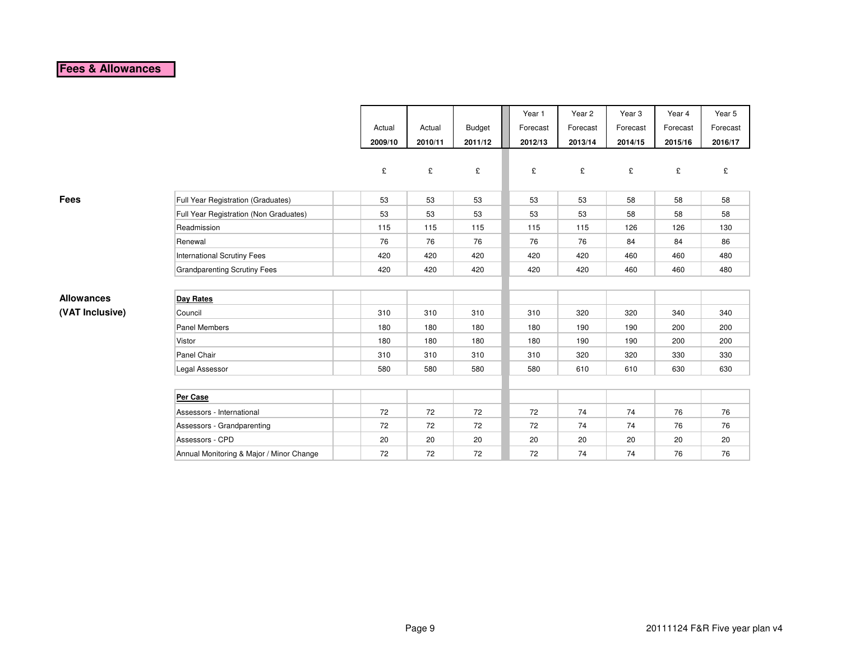#### **Fees & Allowances**

|                   |                                          |         |         |         | Year 1   | Year 2   | Year 3   | Year 4   | Year 5   |
|-------------------|------------------------------------------|---------|---------|---------|----------|----------|----------|----------|----------|
|                   |                                          | Actual  | Actual  | Budget  | Forecast | Forecast | Forecast | Forecast | Forecast |
|                   |                                          | 2009/10 | 2010/11 | 2011/12 | 2012/13  | 2013/14  | 2014/15  | 2015/16  | 2016/17  |
|                   |                                          |         |         |         |          |          |          |          |          |
|                   |                                          | £       | £       | £       | £        | £        | £        | £        | £        |
|                   |                                          |         |         |         |          |          |          |          |          |
| <b>Fees</b>       | Full Year Registration (Graduates)       | 53      | 53      | 53      | 53       | 53       | 58       | 58       | 58       |
|                   | Full Year Registration (Non Graduates)   | 53      | 53      | 53      | 53       | 53       | 58       | 58       | 58       |
|                   | Readmission                              | 115     | 115     | 115     | 115      | 115      | 126      | 126      | 130      |
|                   | Renewal                                  | 76      | 76      | 76      | 76       | 76       | 84       | 84       | 86       |
|                   | <b>International Scrutiny Fees</b>       | 420     | 420     | 420     | 420      | 420      | 460      | 460      | 480      |
|                   | <b>Grandparenting Scrutiny Fees</b>      | 420     | 420     | 420     | 420      | 420      | 460      | 460      | 480      |
|                   |                                          |         |         |         |          |          |          |          |          |
| <b>Allowances</b> | Day Rates                                |         |         |         |          |          |          |          |          |
| (VAT Inclusive)   | Council                                  | 310     | 310     | 310     | 310      | 320      | 320      | 340      | 340      |
|                   | <b>Panel Members</b>                     | 180     | 180     | 180     | 180      | 190      | 190      | 200      | 200      |
|                   | Vistor                                   | 180     | 180     | 180     | 180      | 190      | 190      | 200      | 200      |
|                   | Panel Chair                              | 310     | 310     | 310     | 310      | 320      | 320      | 330      | 330      |
|                   | Legal Assessor                           | 580     | 580     | 580     | 580      | 610      | 610      | 630      | 630      |
|                   |                                          |         |         |         |          |          |          |          |          |
|                   | Per Case                                 |         |         |         |          |          |          |          |          |
|                   | Assessors - International                | 72      | 72      | 72      | 72       | 74       | 74       | 76       | 76       |
|                   | Assessors - Grandparenting               | 72      | 72      | 72      | 72       | 74       | 74       | 76       | 76       |
|                   | Assessors - CPD                          | 20      | 20      | 20      | 20       | 20       | 20       | 20       | 20       |
|                   | Annual Monitoring & Major / Minor Change | 72      | 72      | 72      | 72       | 74       | 74       | 76       | 76       |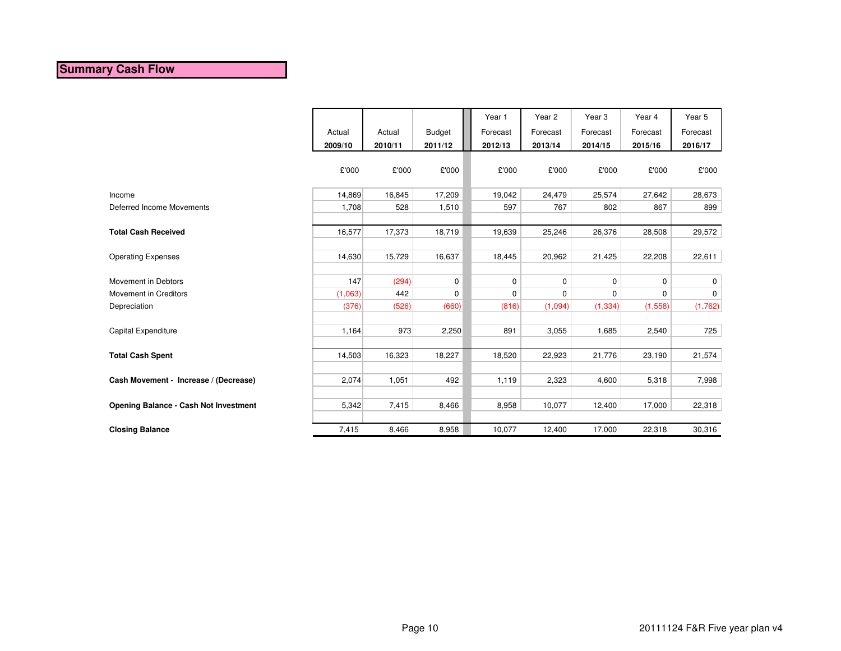#### **Summary Cash Flow**

|                                              |         |         |               | Year 1      | Year <sub>2</sub> | Year <sub>3</sub> | Year 4      | Year 5      |
|----------------------------------------------|---------|---------|---------------|-------------|-------------------|-------------------|-------------|-------------|
|                                              | Actual  | Actual  | <b>Budget</b> | Forecast    | Forecast          | Forecast          | Forecast    | Forecast    |
|                                              | 2009/10 | 2010/11 | 2011/12       | 2012/13     | 2013/14           | 2014/15           | 2015/16     | 2016/17     |
|                                              | £'000   | £'000   | £'000         | £'000       | £'000             | £'000             | £'000       | £'000       |
| Income                                       | 14,869  | 16,845  | 17,209        | 19,042      | 24,479            | 25,574            | 27,642      | 28,673      |
| Deferred Income Movements                    | 1,708   | 528     | 1,510         | 597         | 767               | 802               | 867         | 899         |
|                                              |         |         |               |             |                   |                   |             |             |
| <b>Total Cash Received</b>                   | 16,577  | 17,373  | 18,719        | 19,639      | 25,246            | 26,376            | 28,508      | 29,572      |
|                                              |         |         |               |             |                   |                   |             |             |
| <b>Operating Expenses</b>                    | 14,630  | 15,729  | 16,637        | 18,445      | 20,962            | 21,425            | 22,208      | 22,611      |
|                                              |         |         |               |             |                   |                   |             |             |
| Movement in Debtors                          | 147     | (294)   | 0             | $\mathbf 0$ | $\mathbf 0$       | 0                 | $\mathbf 0$ | 0           |
| Movement in Creditors                        | (1,063) | 442     | $\mathbf 0$   | $\pmb{0}$   | $\mathbf 0$       | 0                 | $\mathbf 0$ | $\mathbf 0$ |
| Depreciation                                 | (376)   | (526)   | (660)         | (816)       | (1,094)           | (1, 334)          | (1,558)     | (1,762)     |
|                                              |         |         |               |             |                   |                   |             |             |
| Capital Expenditure                          | 1,164   | 973     | 2,250         | 891         | 3,055             | 1,685             | 2,540       | 725         |
|                                              |         |         |               |             |                   |                   |             |             |
| <b>Total Cash Spent</b>                      | 14,503  | 16,323  | 18,227        | 18,520      | 22,923            | 21,776            | 23,190      | 21,574      |
|                                              |         |         |               |             |                   |                   |             |             |
| Cash Movement - Increase / (Decrease)        | 2,074   | 1,051   | 492           | 1,119       | 2,323             | 4,600             | 5,318       | 7,998       |
|                                              |         |         |               |             |                   |                   |             |             |
| <b>Opening Balance - Cash Not Investment</b> | 5,342   | 7,415   | 8,466         | 8,958       | 10,077            | 12,400            | 17,000      | 22,318      |
|                                              |         |         |               |             |                   |                   |             |             |
| <b>Closing Balance</b>                       | 7,415   | 8,466   | 8,958         | 10,077      | 12,400            | 17,000            | 22,318      | 30,316      |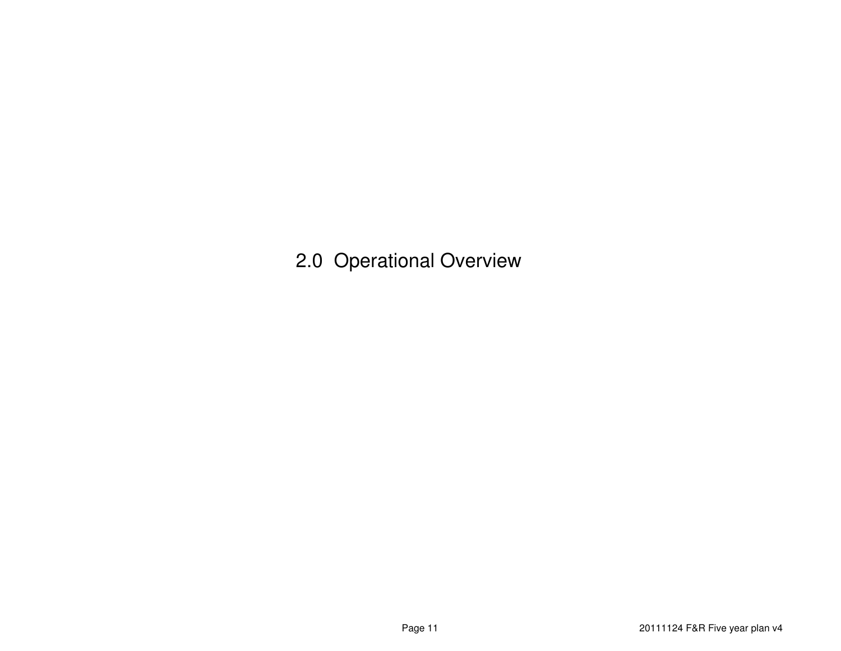2.0 Operational Overview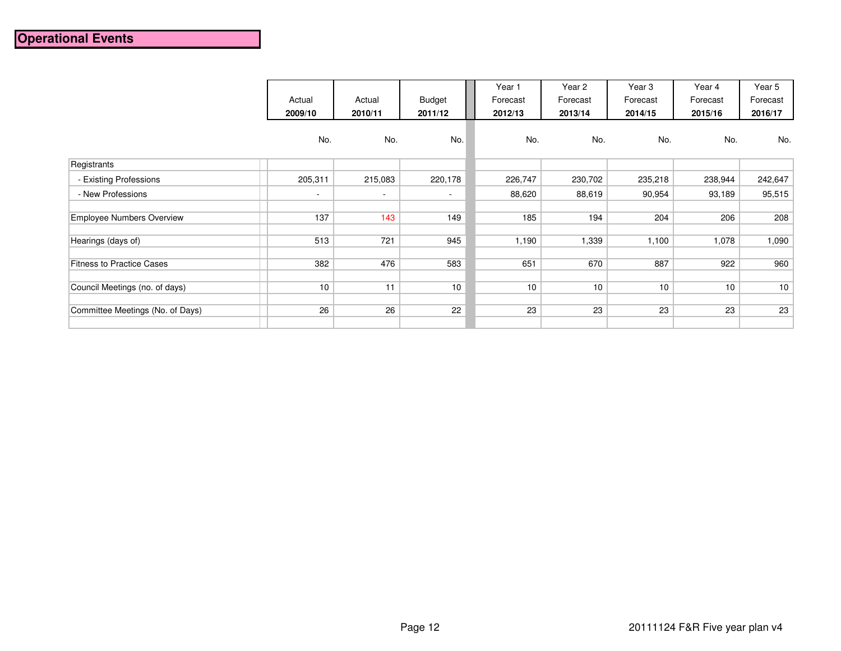# **Operational Events**

|                                  | Actual<br>2009/10 | Actual<br>2010/11 | <b>Budget</b><br>2011/12 | Year 1<br>Forecast<br>2012/13 | Year 2<br>Forecast<br>2013/14 | Year <sub>3</sub><br>Forecast<br>2014/15 | Year 4<br>Forecast<br>2015/16 | Year 5<br>Forecast<br>2016/17 |
|----------------------------------|-------------------|-------------------|--------------------------|-------------------------------|-------------------------------|------------------------------------------|-------------------------------|-------------------------------|
|                                  | No.               | No.               | No.                      | No.                           | No.                           | No.                                      | No.                           | No.                           |
| Registrants                      |                   |                   |                          |                               |                               |                                          |                               |                               |
| - Existing Professions           | 205,311           | 215,083           | 220,178                  | 226,747                       | 230,702                       | 235,218                                  | 238,944                       | 242,647                       |
| - New Professions                | $\sim$            | $\sim$            | $\overline{\phantom{a}}$ | 88,620                        | 88,619                        | 90,954                                   | 93,189                        | 95,515                        |
| <b>Employee Numbers Overview</b> | 137               | 143               | 149                      | 185                           | 194                           | 204                                      | 206                           | 208                           |
| Hearings (days of)               | 513               | 721               | 945                      | 1,190                         | 1,339                         | 1,100                                    | 1,078                         | 1,090                         |
| <b>Fitness to Practice Cases</b> | 382               | 476               | 583                      | 651                           | 670                           | 887                                      | 922                           | 960                           |
| Council Meetings (no. of days)   | 10                | 11                | 10                       | 10                            | 10                            | 10                                       | 10                            | 10                            |
| Committee Meetings (No. of Days) | 26                | 26                | 22                       | 23                            | 23                            | 23                                       | 23                            | 23                            |
|                                  |                   |                   |                          |                               |                               |                                          |                               |                               |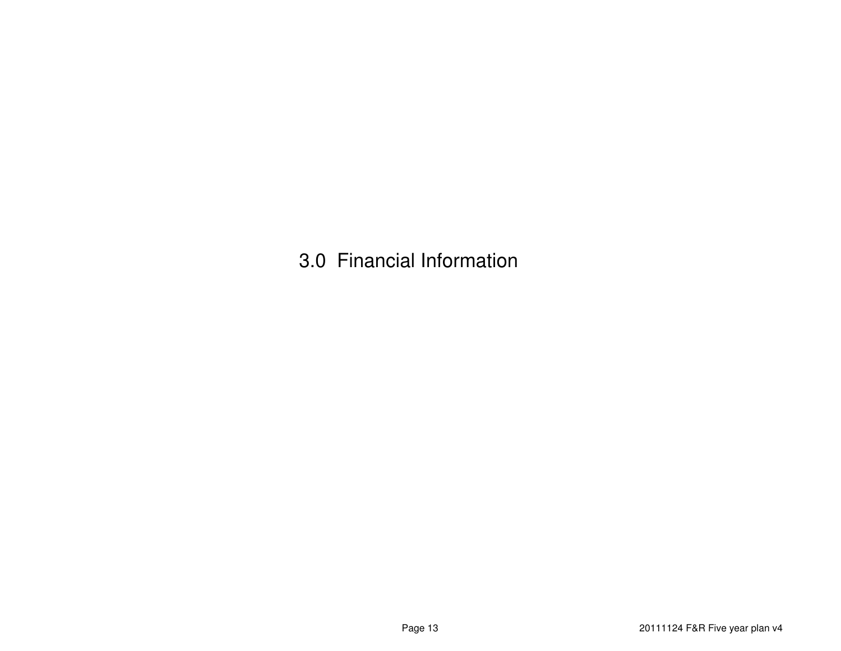3.0 Financial Information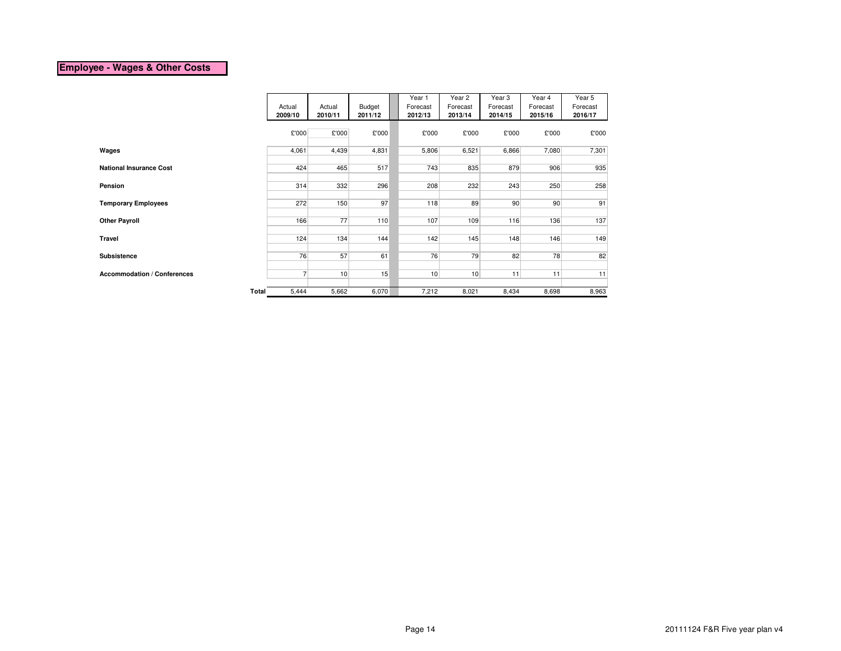#### **Employee - Wages & Other Costs**

|                                    |                |         |         | Year 1   | Year 2   | Year 3   | Year 4          | Year 5   |
|------------------------------------|----------------|---------|---------|----------|----------|----------|-----------------|----------|
|                                    | Actual         | Actual  | Budget  | Forecast | Forecast | Forecast | Forecast        | Forecast |
|                                    | 2009/10        | 2010/11 | 2011/12 | 2012/13  | 2013/14  | 2014/15  | 2015/16         | 2016/17  |
|                                    | £'000          | £'000   | £'000   | £'000    | £'000    | £'000    | £'000           | £'000    |
| Wages                              | 4,061          | 4,439   | 4,831   | 5,806    | 6,521    | 6,866    | 7,080           | 7,301    |
|                                    |                |         |         |          |          |          |                 |          |
| <b>National Insurance Cost</b>     | 424            | 465     | 517     | 743      | 835      | 879      | 906             | 935      |
| Pension                            | 314            | 332     | 296     | 208      | 232      | 243      | 250             | 258      |
|                                    |                |         |         |          |          |          |                 |          |
| <b>Temporary Employees</b>         | 272            | 150     | 97      | 118      | 89       | 90       | 90 <sup>°</sup> | 91       |
|                                    |                |         |         |          |          |          |                 |          |
| <b>Other Payroll</b>               | 166            | 77      | 110     | 107      | 109      | 116      | 136             | 137      |
| Travel                             | 124            | 134     | 144     | 142      | 145      | 148      | 146             | 149      |
| Subsistence                        | 76             | 57      | 61      | 76       | 79       | 82       | 78              | 82       |
|                                    |                |         |         |          |          |          |                 |          |
| <b>Accommodation / Conferences</b> | $\overline{7}$ | 10      | 15      | 10       | 10       | 11       | 11              | 11       |
|                                    |                |         |         |          |          |          |                 |          |
| Total                              | 5,444          | 5,662   | 6,070   | 7,212    | 8,021    | 8,434    | 8,698           | 8,963    |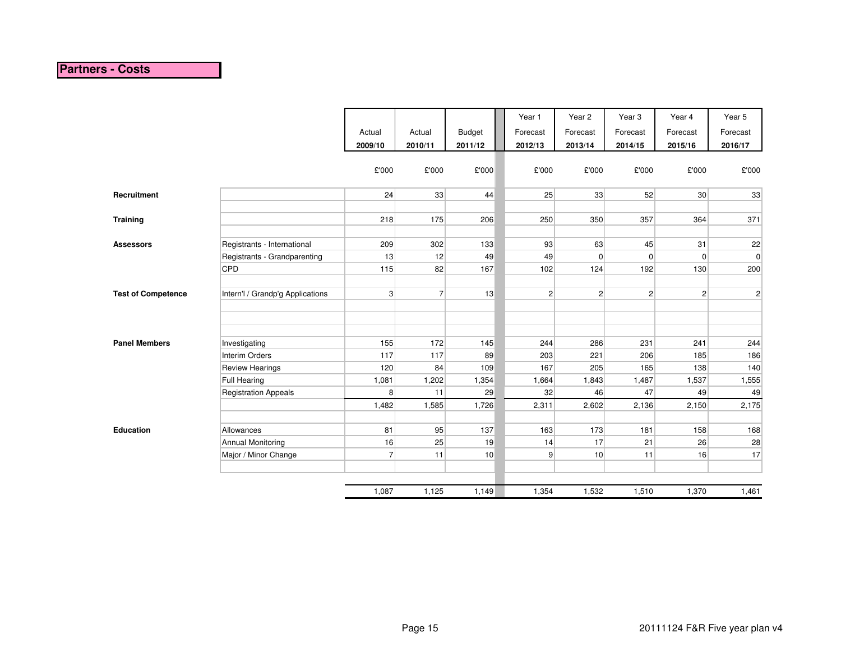# **Partners - Costs**

|                           |                                  |                |                |               | Year 1         | Year 2         | Year <sub>3</sub> | Year 4          | Year 5       |
|---------------------------|----------------------------------|----------------|----------------|---------------|----------------|----------------|-------------------|-----------------|--------------|
|                           |                                  | Actual         | Actual         | <b>Budget</b> | Forecast       | Forecast       | Forecast          | Forecast        | Forecast     |
|                           |                                  | 2009/10        | 2010/11        | 2011/12       | 2012/13        | 2013/14        | 2014/15           | 2015/16         | 2016/17      |
|                           |                                  |                |                |               |                |                |                   |                 |              |
|                           |                                  | £'000          | £'000          | £'000         | £'000          | £'000          | £'000             | £'000           | £'000        |
| Recruitment               |                                  | 24             | 33             | 44            | 25             | 33             | 52                | 30 <sup>°</sup> | 33           |
|                           |                                  |                |                |               |                |                |                   |                 |              |
| <b>Training</b>           |                                  | 218            | 175            | 206           | 250            | 350            | 357               | 364             | 371          |
|                           |                                  |                |                |               |                |                |                   |                 |              |
| <b>Assessors</b>          | Registrants - International      | 209            | 302            | 133           | 93             | 63             | 45                | 31              | 22           |
|                           | Registrants - Grandparenting     | 13             | 12             | 49            | 49             | $\overline{0}$ | $\mathbf 0$       | $\mathbf 0$     | 0            |
|                           | CPD                              | 115            | 82             | 167           | 102            | 124            | 192               | 130             | 200          |
|                           |                                  |                |                |               |                |                |                   |                 |              |
| <b>Test of Competence</b> | Intern'l / Grandp'g Applications | 3 <sup>1</sup> | 7 <sup>1</sup> | 13            | $\overline{2}$ | $\vert$ 2      | $\mathbf{2}$      | $\overline{c}$  | $\mathbf{2}$ |
|                           |                                  |                |                |               |                |                |                   |                 |              |
|                           |                                  |                |                |               |                |                |                   |                 |              |
| <b>Panel Members</b>      | Investigating                    | 155            | 172            | 145           | 244            | 286            | 231               | 241             | 244          |
|                           | Interim Orders                   | 117            | 117            | 89            | 203            | 221            | 206               | 185             | 186          |
|                           | <b>Review Hearings</b>           | 120            | 84             | 109           | 167            | 205            | 165               | 138             | 140          |
|                           | <b>Full Hearing</b>              | 1,081          | 1,202          | 1,354         | 1,664          | 1,843          | 1,487             | 1,537           | 1,555        |
|                           | <b>Registration Appeals</b>      | 8              | 11             | 29            | 32             | 46             | 47                | 49              | 49           |
|                           |                                  | 1,482          | 1,585          | 1,726         | 2,311          | 2,602          | 2,136             | 2,150           | 2,175        |
|                           |                                  |                |                |               |                |                |                   |                 |              |
| <b>Education</b>          | Allowances                       | 81             | 95             | 137           | 163            | 173            | 181               | 158             | 168          |
|                           | <b>Annual Monitoring</b>         | 16             | 25             | 19            | 14             | 17             | 21                | 26              | 28           |
|                           | Major / Minor Change             | $\overline{7}$ | 11             | 10            | 9              | 10             | 11                | 16              | 17           |
|                           |                                  |                |                |               |                |                |                   |                 |              |
|                           |                                  | 1,087          | 1,125          | 1,149         | 1,354          | 1,532          | 1,510             | 1,370           | 1,461        |
|                           |                                  |                |                |               |                |                |                   |                 |              |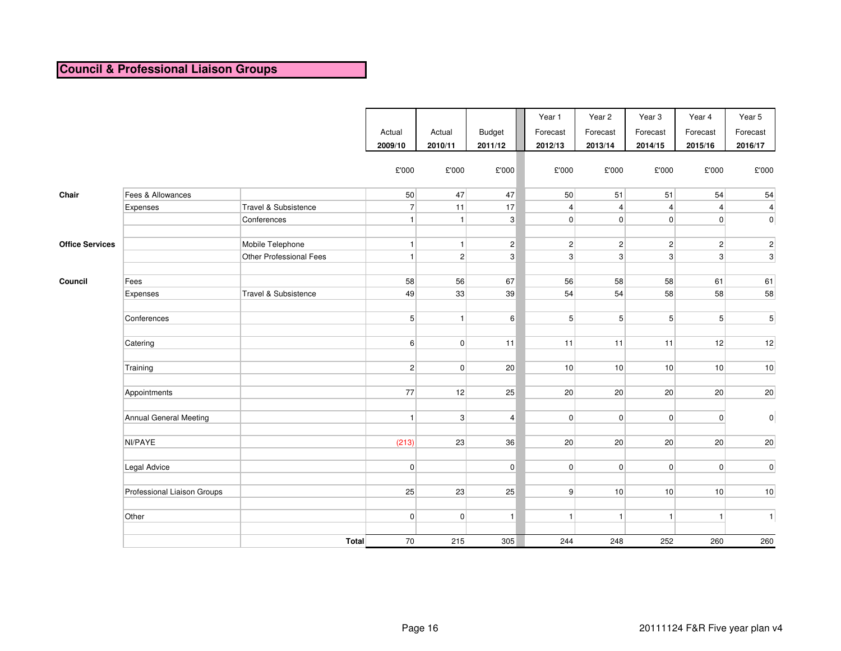# **Council & Professional Liaison Groups**

|                        |                             |                         | Actual<br>2009/10 | Actual<br>2010/11 | <b>Budget</b><br>2011/12 | Year 1<br>Forecast<br>2012/13 | Year 2<br>Forecast<br>2013/14 | Year <sub>3</sub><br>Forecast<br>2014/15 | Year 4<br>Forecast<br>2015/16 | Year 5<br>Forecast<br>2016/17 |
|------------------------|-----------------------------|-------------------------|-------------------|-------------------|--------------------------|-------------------------------|-------------------------------|------------------------------------------|-------------------------------|-------------------------------|
|                        |                             |                         | £'000             | £'000             | £'000                    | $\pounds 000$                 | £'000                         | £'000                                    | £'000                         | £'000                         |
| Chair                  | Fees & Allowances           |                         | 50                | 47                | 47                       | 50                            | 51                            | 51                                       | 54                            | 54                            |
|                        | Expenses                    | Travel & Subsistence    | 7                 | 11                | 17                       | $\vert$                       | $\overline{4}$                | $\overline{4}$                           | $\vert 4 \vert$               | $\overline{\mathbf{4}}$       |
|                        |                             | Conferences             | $\mathbf{1}$      | 1                 | 3                        | $\overline{0}$                | $\overline{0}$                | 0                                        | $\overline{0}$                | $\overline{0}$                |
| <b>Office Services</b> |                             | Mobile Telephone        | $\mathbf{1}$      | 1                 | $\overline{c}$           | 2 <sup>2</sup>                | $\overline{2}$                | $\overline{2}$                           | $\mathbf{2}$                  | $\vert$ 2                     |
|                        |                             | Other Professional Fees | $\mathbf{1}$      | 2 <sup>2</sup>    | 3                        | 3 <sup>1</sup>                | $\mathbf{3}$                  | $\mathbf{3}$                             | $\lvert 3 \rvert$             | 3                             |
| Council                | Fees                        |                         | 58                | 56                | 67                       | 56                            | 58                            | 58                                       | 61                            | 61                            |
|                        | Expenses                    | Travel & Subsistence    | 49                | 33                | 39                       | 54                            | 54                            | 58                                       | 58                            | 58                            |
|                        | Conferences                 |                         | 5 <sup>2</sup>    | 1                 | 6                        | 5 <sup>1</sup>                | 5 <sup>5</sup>                | 5 <sup>5</sup>                           | 5 <sup>2</sup>                | 5 <sup>2</sup>                |
|                        | Catering                    |                         | 6 <sup>1</sup>    | 0                 | 11                       | 11                            | 11                            | 11                                       | 12                            | 12                            |
|                        | Training                    |                         | 2                 | 0                 | 20                       | 10 <sup>1</sup>               | 10                            | 10                                       | 10                            | 10                            |
|                        | Appointments                |                         | 77                | 12                | 25                       | 20                            | 20                            | 20                                       | 20                            | 20                            |
|                        | Annual General Meeting      |                         | $\overline{1}$    | 3 <sup>1</sup>    | $\overline{4}$           | 0                             | $\mathbf 0$                   | $\overline{0}$                           | $\overline{0}$                | 0                             |
|                        | NI/PAYE                     |                         | (213)             | 23                | 36                       | 20                            | 20                            | 20                                       | 20                            | 20                            |
|                        | Legal Advice                |                         | $\overline{0}$    |                   | $\mathbf 0$              | 0                             | $\mathbf 0$                   | 0                                        | $\overline{0}$                | 0                             |
|                        | Professional Liaison Groups |                         | 25                | 23                | 25                       | 9 <sup>1</sup>                | 10                            | 10                                       | 10                            | 10                            |
|                        | Other                       |                         | 0                 | 0                 | 1                        | 1                             | $\mathbf{1}$                  | 1                                        | 1                             | 1                             |
|                        |                             | Total                   | 70                | 215               | 305                      | 244                           | 248                           | 252                                      | 260                           | 260                           |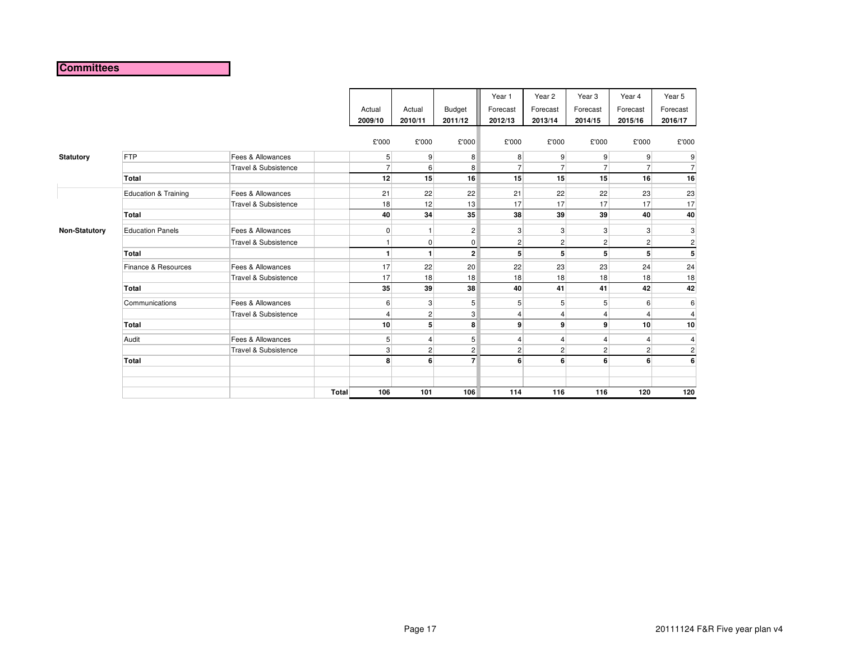#### **Committees**

|                      |                         |                      |              |                 |                |                         | Year 1         | Year 2         | Year <sub>3</sub> | Year 4         | Year 5                  |
|----------------------|-------------------------|----------------------|--------------|-----------------|----------------|-------------------------|----------------|----------------|-------------------|----------------|-------------------------|
|                      |                         |                      |              | Actual          | Actual         | Budget                  | Forecast       | Forecast       | Forecast          | Forecast       | Forecast                |
|                      |                         |                      |              | 2009/10         | 2010/11        | 2011/12                 | 2012/13        | 2013/14        | 2014/15           | 2015/16        | 2016/17                 |
|                      |                         |                      |              | £'000           | £'000          | £'000                   | £'000          | £'000          | £'000             | £'000          | £'000                   |
| <b>Statutory</b>     | FTP                     | Fees & Allowances    |              | $5\overline{)}$ | 9              | 8                       | 8              | 9              | 9 <sup>°</sup>    | $\overline{9}$ | 9                       |
|                      |                         | Travel & Subsistence |              | $\overline{7}$  | 6              | 8                       | $\overline{7}$ | $\overline{7}$ | $\overline{7}$    | $\overline{7}$ | $\overline{7}$          |
|                      | Total                   |                      |              | 12              | 15             | 16                      | 15             | 15             | 15                | 16             | 16                      |
|                      | Education & Training    | Fees & Allowances    |              | 21              | 22             | 22                      | 21             | 22             | 22                | 23             | 23                      |
|                      |                         | Travel & Subsistence |              | 18              | 12             | 13                      | 17             | 17             | 17                | 17             | 17                      |
|                      | Total                   |                      |              | 40              | 34             | 35                      | 38             | 39             | 39                | 40             | 40                      |
| <b>Non-Statutory</b> | <b>Education Panels</b> | Fees & Allowances    |              | $\overline{0}$  | $\mathbf{1}$   | $\overline{c}$          | 3              | 3              | 3                 | 3              | 3                       |
|                      |                         | Travel & Subsistence |              |                 | $\mathbf 0$    | $\overline{0}$          | $\mathbf{2}$   | $\overline{2}$ | $\overline{2}$    | $\overline{2}$ | $\overline{\mathbf{c}}$ |
|                      | Total                   |                      |              | $\mathbf{1}$    | $\mathbf{1}$   | $\overline{2}$          | 5 <sup>1</sup> | 5              | 5                 |                | 5                       |
|                      | Finance & Resources     | Fees & Allowances    |              | 17              | 22             | 20                      | 22             | 23             | 23                | 24             | 24                      |
|                      |                         | Travel & Subsistence |              | 17              | 18             | 18                      | 18             | 18             | 18                | 18             | 18                      |
|                      | Total                   |                      |              | 35              | 39             | 38                      | 40             | 41             | 41                | 42             | 42                      |
|                      | Communications          | Fees & Allowances    |              | 6               | 3              | 5 <sup>5</sup>          | 5 <sub>1</sub> | 5              | 5                 | 6              | 6                       |
|                      |                         | Travel & Subsistence |              | $\overline{4}$  | $\overline{c}$ | 3                       | 4              | $\overline{4}$ | 4                 |                | 4                       |
|                      | <b>Total</b>            |                      |              | 10              | 5              | 8                       | $\mathbf{9}$   | $\overline{9}$ | $\mathbf{9}$      | 10             | 10                      |
|                      | Audit                   | Fees & Allowances    |              | $5\overline{)}$ | 4              | 5                       | 4              | 4              |                   |                | 4                       |
|                      |                         | Travel & Subsistence |              | $\mathbf{3}$    | $\sqrt{2}$     | $\overline{\mathbf{c}}$ | $\mathbf{2}$   | $\mathbf{2}$   | $\overline{2}$    | $\overline{2}$ | $\mathbf 2$             |
|                      | Total                   |                      |              | 8               | 6              | $\overline{7}$          | 6              | 6              | 6                 | 6              | 6                       |
|                      |                         |                      |              |                 |                |                         |                |                |                   |                |                         |
|                      |                         |                      | <b>Total</b> | 106             | 101            | 106                     | 114            | 116            | 116               | 120            | 120                     |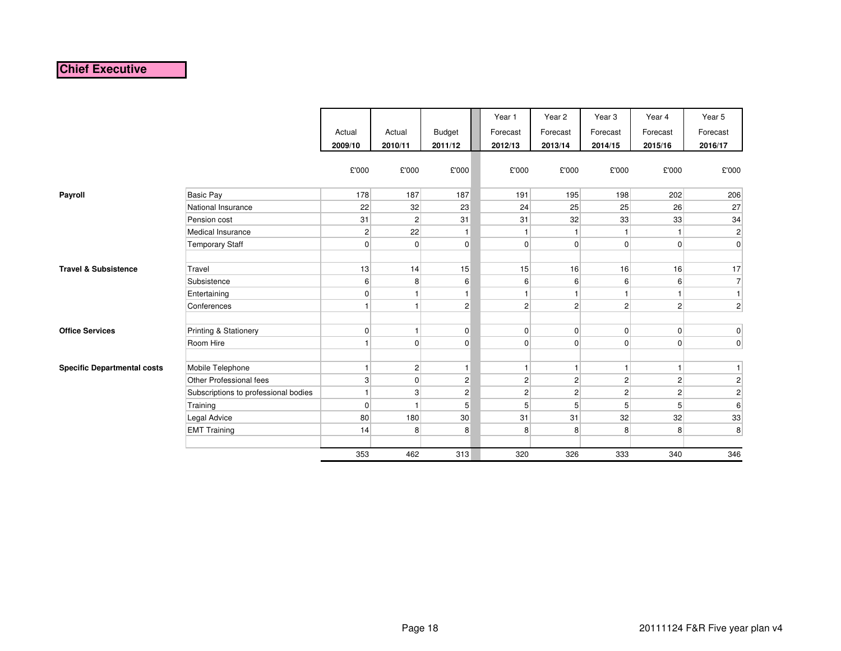# **Chief Executive**

|                                    |                                      | Actual<br>2009/10 | Actual<br>2010/11 | Budget<br>2011/12 | Year 1<br>Forecast<br>2012/13 | Year 2<br>Forecast<br>2013/14 | Year <sub>3</sub><br>Forecast<br>2014/15 | Year 4<br>Forecast<br>2015/16 | Year 5<br>Forecast<br>2016/17 |
|------------------------------------|--------------------------------------|-------------------|-------------------|-------------------|-------------------------------|-------------------------------|------------------------------------------|-------------------------------|-------------------------------|
|                                    |                                      | £'000             | £'000             | £'000             | £'000                         | £'000                         | £'000                                    | £'000                         | £'000                         |
| Payroll                            | <b>Basic Pay</b>                     | 178               | 187               | 187               | 191                           | 195                           | 198                                      | 202                           | 206                           |
|                                    | National Insurance                   | 22                | 32                | 23                | 24                            | 25                            | 25                                       | 26                            | 27                            |
|                                    | Pension cost                         | 31                | $\overline{c}$    | 31                | 31                            | 32                            | 33                                       | 33                            | 34                            |
|                                    | Medical Insurance                    | $\overline{c}$    | 22                | $\mathbf{1}$      |                               | $\mathbf{1}$                  |                                          | $\mathbf{1}$                  | $\mathbf{2}$                  |
|                                    | <b>Temporary Staff</b>               | $\overline{0}$    | $\overline{0}$    | 0                 | $\overline{0}$                | $\overline{0}$                | $\overline{0}$                           | 0                             | $\overline{0}$                |
|                                    |                                      |                   |                   |                   |                               |                               |                                          |                               |                               |
| <b>Travel &amp; Subsistence</b>    | Travel                               | 13                | 14                | 15                | 15                            | 16                            | 16                                       | 16                            | 17                            |
|                                    | Subsistence                          | $6 \mid$          | 8                 | 6                 | $6 \mid$                      | $6 \mid$                      | 6                                        | 6                             | $\overline{7}$                |
|                                    | Entertaining                         | $\overline{0}$    | 1                 | $\mathbf{1}$      |                               | $\mathbf{1}$                  | 1                                        | 1                             | 1                             |
|                                    | Conferences                          | $\mathbf{1}$      | $\mathbf{1}$      | $\overline{c}$    | $\overline{2}$                | $\mathbf{2}$                  | $\overline{2}$                           | $\overline{c}$                | $\mathbf{2}$                  |
| <b>Office Services</b>             | <b>Printing &amp; Stationery</b>     | 0                 | 1                 | 0                 | $\overline{0}$                | $\overline{0}$                | $\overline{0}$                           | 0                             | 0                             |
|                                    | Room Hire                            | $\mathbf{1}$      | $\pmb{0}$         | 0                 | $\overline{0}$                | $\overline{0}$                | $\overline{0}$                           | $\mathbf 0$                   | $\overline{0}$                |
|                                    |                                      |                   |                   |                   |                               |                               |                                          |                               |                               |
| <b>Specific Departmental costs</b> | Mobile Telephone                     | $\mathbf{1}$      | $\mathbf 2$       | $\mathbf{1}$      | 1                             | $\mathbf{1}$                  | $\mathbf{1}$                             | $\mathbf{1}$                  | $\mathbf{1}$                  |
|                                    | Other Professional fees              | $\mathbf{3}$      | $\overline{0}$    | $\overline{c}$    | $\overline{2}$                | $\overline{2}$                | $\overline{2}$                           | $\overline{c}$                | $\mathbf{2}$                  |
|                                    | Subscriptions to professional bodies | $\mathbf{1}$      | 3                 | $\overline{c}$    | $\overline{2}$                | $\mathbf{2}$                  | $\overline{2}$                           | $\overline{c}$                | $\mathbf{2}$                  |
|                                    | Training                             | 0                 | $\mathbf{1}$      | 5                 | 5 <sup>1</sup>                | 5 <sup>5</sup>                | 5                                        | 5                             | $\,6$                         |
|                                    | Legal Advice                         | 80                | 180               | 30                | 31                            | 31                            | 32                                       | 32                            | 33                            |
|                                    | <b>EMT Training</b>                  | 14                | 8                 | 8                 | 8                             | 8                             | 8                                        | 8                             | 8 <sup>1</sup>                |
|                                    |                                      |                   |                   |                   |                               |                               |                                          |                               |                               |
|                                    |                                      | 353               | 462               | 313               | 320                           | 326                           | 333                                      | 340                           | 346                           |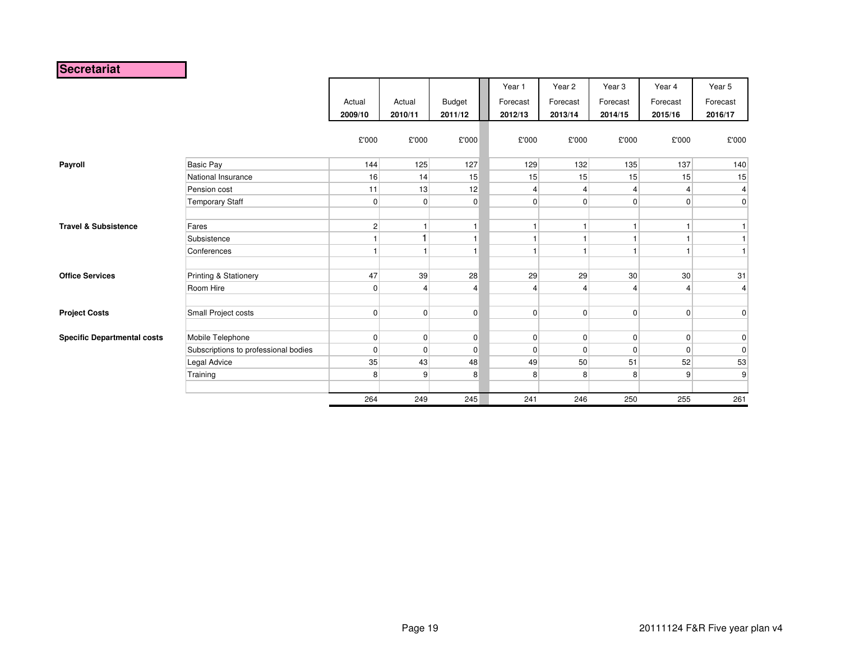## **Secretariat**

|                                    |                                      |                |                |               | Year 1         | Year <sub>2</sub> | Year <sub>3</sub> | Year 4          | Year 5          |
|------------------------------------|--------------------------------------|----------------|----------------|---------------|----------------|-------------------|-------------------|-----------------|-----------------|
|                                    |                                      | Actual         | Actual         | <b>Budget</b> | Forecast       | Forecast          | Forecast          | Forecast        | Forecast        |
|                                    |                                      | 2009/10        | 2010/11        | 2011/12       | 2012/13        | 2013/14           | 2014/15           | 2015/16         | 2016/17         |
|                                    |                                      | £'000          | £'000          | £'000         | £'000          | £'000             | £'000             | £'000           | £'000           |
| Payroll                            | Basic Pay                            | 144            | 125            | 127           | 129            | 132               | 135               | 137             | 140             |
|                                    | National Insurance                   | 16             | 14             | 15            | 15             | 15                | 15                | 15              | 15              |
|                                    | Pension cost                         | 11             | 13             | 12            | 4              |                   | 4                 | 4               | $\vert 4 \vert$ |
|                                    | <b>Temporary Staff</b>               | $\overline{0}$ | $\mathbf 0$    | $\pmb{0}$     | $\overline{0}$ | $\Omega$          | $\overline{0}$    | $\overline{0}$  | $\overline{0}$  |
|                                    |                                      |                |                |               |                |                   |                   |                 |                 |
| <b>Travel &amp; Subsistence</b>    | Fares                                | $\overline{2}$ |                | $\mathbf{1}$  |                |                   | $\mathbf{1}$      | 1               |                 |
|                                    | Subsistence                          | 1 <sup>1</sup> | 1              | $\mathbf{1}$  |                |                   | $\mathbf{1}$      |                 |                 |
|                                    | Conferences                          |                |                | $\mathbf{1}$  |                |                   | $\overline{1}$    | 1               | 1               |
| <b>Office Services</b>             | Printing & Stationery                | 47             | 39             | 28            | 29             | 29                | 30 <sup>°</sup>   | 30 <sup>°</sup> | 31              |
|                                    | Room Hire                            | $\overline{0}$ | $\overline{4}$ | 4             | 4              |                   | 4                 | 4               | $\vert$         |
| <b>Project Costs</b>               | Small Project costs                  | $\overline{0}$ | $\mathbf 0$    | $\pmb{0}$     | $\overline{0}$ | $\Omega$          | $\overline{0}$    | $\overline{0}$  | 0               |
| <b>Specific Departmental costs</b> | Mobile Telephone                     | 0              | $\mathbf 0$    | $\pmb{0}$     | $\overline{0}$ | $\Omega$          | $\overline{0}$    | $\overline{0}$  | 0               |
|                                    | Subscriptions to professional bodies | $\overline{0}$ | $\mathbf 0$    | $\pmb{0}$     | $\overline{0}$ | $\Omega$          | $\overline{0}$    | $\overline{0}$  | $\mathbf 0$     |
|                                    | Legal Advice                         | 35             | 43             | 48            | 49             | 50                | 51                | 52              | 53              |
|                                    | Training                             | 8              | 9              | 8             | 8              | 8                 | 8                 | 9 <sup>1</sup>  | 9               |
|                                    |                                      |                |                |               |                |                   |                   |                 |                 |
|                                    |                                      | 264            | 249            | 245           | 241            | 246               | 250               | 255             | 261             |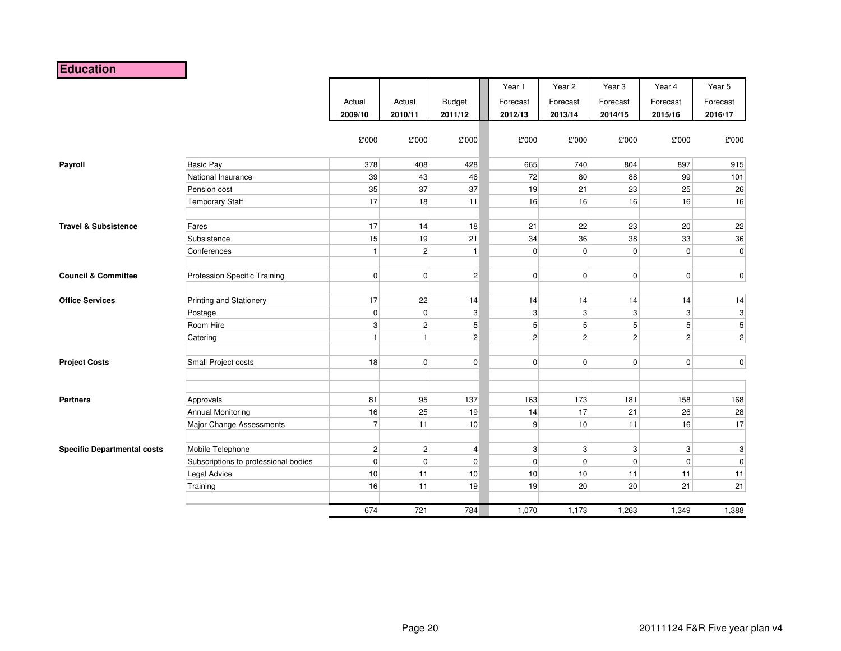# **Education**

|                                    |                                      | Actual<br>2009/10 | Actual<br>2010/11       | <b>Budget</b><br>2011/12  | Year 1<br>Forecast<br>2012/13 | Year 2<br>Forecast<br>2013/14 | Year <sub>3</sub><br>Forecast<br>2014/15 | Year 4<br>Forecast<br>2015/16 | Year 5<br>Forecast<br>2016/17 |
|------------------------------------|--------------------------------------|-------------------|-------------------------|---------------------------|-------------------------------|-------------------------------|------------------------------------------|-------------------------------|-------------------------------|
|                                    |                                      | £'000             | £'000                   | £'000                     | £'000                         | £'000                         | £'000                                    | £'000                         | £'000                         |
| Payroll                            | <b>Basic Pay</b>                     | 378               | 408                     | 428                       | 665                           | 740                           | 804                                      | 897                           | 915                           |
|                                    | National Insurance                   | 39                | 43                      | 46                        | 72                            | 80                            | 88                                       | 99                            | 101                           |
|                                    | Pension cost                         | 35                | 37                      | 37                        | 19                            | 21                            | 23                                       | 25                            | 26                            |
|                                    | <b>Temporary Staff</b>               | 17                | 18                      | 11                        | 16                            | 16                            | 16                                       | 16                            | 16                            |
| <b>Travel &amp; Subsistence</b>    | Fares                                | 17                | 14                      | 18                        | 21                            | 22                            | 23                                       | 20                            | 22                            |
|                                    | Subsistence                          | 15                | 19                      | 21                        | 34                            | 36                            | 38                                       | 33                            | 36                            |
|                                    | Conferences                          | $\vert$           | $\overline{c}$          | $\mathbf{1}$              | $\overline{0}$                | $\overline{0}$                | $\overline{0}$                           | $\overline{0}$                | $\overline{0}$                |
| <b>Council &amp; Committee</b>     | Profession Specific Training         | 0                 | $\mathbf 0$             | $\vert$ 2                 | $\overline{0}$                | $\overline{0}$                | $\overline{0}$                           | $\overline{0}$                | $\overline{0}$                |
| <b>Office Services</b>             | <b>Printing and Stationery</b>       | 17                | 22                      | 14                        | 14                            | 14                            | 14                                       | 14                            | 14                            |
|                                    | Postage                              | 0                 | $\mathbf 0$             | $\ensuremath{\mathsf{3}}$ | 3                             | $\mathbf{3}$                  | 3                                        | 3                             | $\ensuremath{\mathsf{3}}$     |
|                                    | Room Hire                            | 3 <sup>1</sup>    | $\overline{c}$          | $\sqrt{5}$                | 5 <sup>5</sup>                | 5 <sup>1</sup>                | 5 <sup>5</sup>                           | 5 <sup>5</sup>                | $5\overline{)}$               |
|                                    | Catering                             | $\vert$           | $\mathbf{1}$            | $\overline{c}$            | $\overline{2}$                | $\mathbf{2}$                  | $\overline{2}$                           | $\mathbf{2}$                  | $\mathbf{2}$                  |
| <b>Project Costs</b>               | Small Project costs                  | 18                | $\mathbf 0$             | $\mathbf 0$               | $\overline{0}$                | $\overline{0}$                | $\overline{0}$                           | $\overline{0}$                | 0                             |
| <b>Partners</b>                    | Approvals                            | 81                | 95                      | 137                       | 163                           | 173                           | 181                                      | 158                           | 168                           |
|                                    | Annual Monitoring                    | 16                | 25                      | 19                        | 14                            | 17                            | 21                                       | 26                            | 28                            |
|                                    | Major Change Assessments             | 7 <sup>1</sup>    | 11                      | 10                        | 9                             | 10                            | 11                                       | 16                            | 17                            |
| <b>Specific Departmental costs</b> | Mobile Telephone                     | 2 <sup>2</sup>    | $\overline{\mathbf{c}}$ | $\overline{4}$            | $\mathbf{3}$                  | 3 <sup>1</sup>                | $\mathbf{3}$                             | $\mathbf{3}$                  | $\mathbf{3}$                  |
|                                    | Subscriptions to professional bodies | $\overline{0}$    | $\mathbf 0$             | $\mathbf 0$               | $\overline{0}$                | $\overline{0}$                | $\overline{0}$                           | $\mathbf 0$                   | $\overline{0}$                |
|                                    | Legal Advice                         | 10                | 11                      | 10                        | 10                            | 10 <sup>1</sup>               | 11                                       | 11                            | 11                            |
|                                    | Training                             | 16                | 11                      | 19                        | 19                            | 20                            | 20                                       | 21                            | 21                            |
|                                    |                                      | 674               | 721                     | 784                       | 1,070                         | 1,173                         | 1,263                                    | 1,349                         | 1,388                         |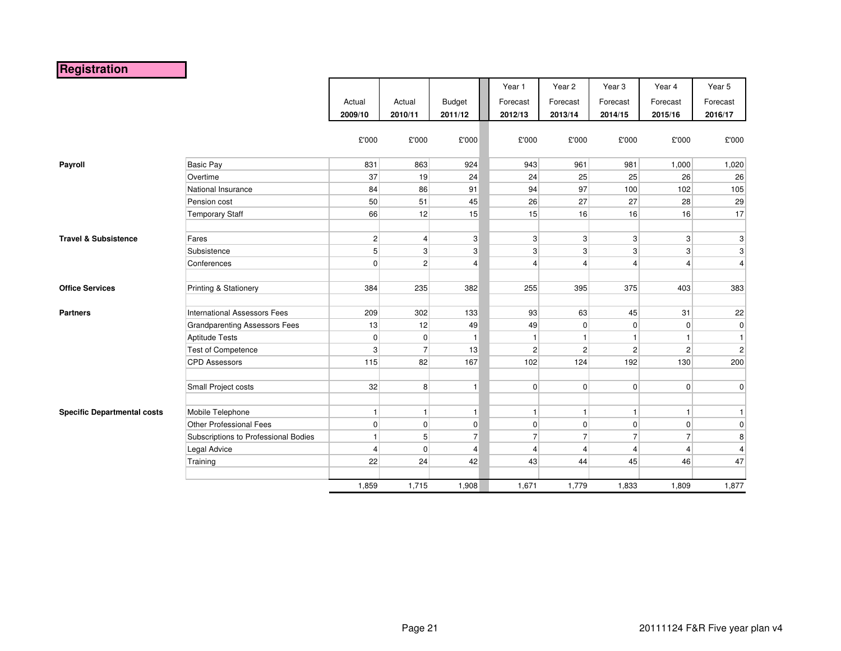# **Registration**

|                                    |                                      |                |                |                | Year 1         | Year 2         | Year <sub>3</sub> | Year 4         | Year 5         |
|------------------------------------|--------------------------------------|----------------|----------------|----------------|----------------|----------------|-------------------|----------------|----------------|
|                                    |                                      | Actual         | Actual         | <b>Budget</b>  | Forecast       | Forecast       | Forecast          | Forecast       | Forecast       |
|                                    |                                      | 2009/10        | 2010/11        | 2011/12        | 2012/13        | 2013/14        | 2014/15           | 2015/16        | 2016/17        |
|                                    |                                      |                |                |                |                |                |                   |                |                |
|                                    |                                      | £'000          | £'000          | £'000          | £'000          | £'000          | £'000             | £'000          | £'000          |
|                                    |                                      |                |                |                |                |                |                   |                |                |
| Payroll                            | <b>Basic Pay</b>                     | 831            | 863            | 924            | 943            | 961            | 981               | 1,000          | 1,020          |
|                                    | Overtime                             | 37             | 19             | 24             | 24             | 25             | 25                | 26             | 26             |
|                                    | National Insurance                   | 84             | 86             | 91             | 94             | 97             | 100               | 102            | 105            |
|                                    | Pension cost                         | 50             | 51             | 45             | 26             | 27             | 27                | 28             | 29             |
|                                    | <b>Temporary Staff</b>               | 66             | 12             | 15             | 15             | 16             | 16                | 16             | 17             |
|                                    |                                      |                |                |                |                |                |                   |                |                |
| <b>Travel &amp; Subsistence</b>    | Fares                                | $\vert$ 2      | $\overline{4}$ | $\mathbf{3}$   | $\mathbf{3}$   | $\mathbf{3}$   | 3 <sup>1</sup>    | $\mathbf{3}$   | $\mathbf{3}$   |
|                                    | Subsistence                          | 5 <sup>1</sup> | 3              | 3              | 3              | $\overline{3}$ | 3 <sup>1</sup>    | $\mathbf{3}$   | 3              |
|                                    | Conferences                          | $\overline{0}$ | $\overline{c}$ | 4              | $\overline{4}$ | $\overline{4}$ | 4                 | $\overline{4}$ | $\overline{4}$ |
|                                    |                                      |                |                |                |                |                |                   |                |                |
| <b>Office Services</b>             | Printing & Stationery                | 384            | 235            | 382            | 255            | 395            | 375               | 403            | 383            |
|                                    |                                      |                |                |                |                |                |                   |                |                |
| <b>Partners</b>                    | <b>International Assessors Fees</b>  | 209            | 302            | 133            | 93             | 63             | 45                | 31             | 22             |
|                                    | <b>Grandparenting Assessors Fees</b> | 13             | 12             | 49             | 49             | $\overline{0}$ | 0                 | $\overline{0}$ | $\overline{0}$ |
|                                    | <b>Aptitude Tests</b>                | 0              | $\overline{0}$ | $\mathbf{1}$   | $\mathbf{1}$   | $\mathbf{1}$   | $\mathbf{1}$      | $\mathbf{1}$   | $\mathbf{1}$   |
|                                    | <b>Test of Competence</b>            | 3 <sup>1</sup> |                | 13             | $\overline{2}$ | $\overline{2}$ | $\mathbf{2}$      | $\mathbf{2}$   | $\overline{2}$ |
|                                    | <b>CPD Assessors</b>                 | 115            | 82             | 167            | 102            | 124            | 192               | 130            | 200            |
|                                    |                                      |                |                |                |                |                |                   |                |                |
|                                    | Small Project costs                  | 32             | 8              | $\vert$        | $\overline{0}$ | $\overline{0}$ | 0                 | $\overline{0}$ | $\overline{0}$ |
|                                    |                                      |                |                |                |                |                |                   |                |                |
| <b>Specific Departmental costs</b> | Mobile Telephone                     | $\mathbf{1}$   |                | $\mathbf{1}$   | $\mathbf{1}$   | $\mathbf{1}$   | $\mathbf{1}$      | $\mathbf{1}$   | 1              |
|                                    | <b>Other Professional Fees</b>       | 0              | $\mathbf 0$    | $\mathbf 0$    | $\overline{0}$ | $\overline{0}$ | $\overline{0}$    | $\overline{0}$ | $\overline{0}$ |
|                                    | Subscriptions to Professional Bodies | $\mathbf{1}$   | 5              | $\overline{7}$ | $\overline{7}$ | $\overline{7}$ | $\overline{7}$    | $\overline{7}$ | 8              |
|                                    | Legal Advice                         | $\overline{4}$ | 0              | $\overline{4}$ | $\overline{4}$ | $\overline{4}$ | $\overline{4}$    | $\overline{4}$ | $\overline{4}$ |
|                                    | Training                             | 22             | 24             | 42             | 43             | 44             | 45                | 46             | 47             |
|                                    |                                      |                |                |                |                |                |                   |                |                |
|                                    |                                      | 1,859          | 1,715          | 1,908          | 1,671          | 1,779          | 1,833             | 1,809          | 1,877          |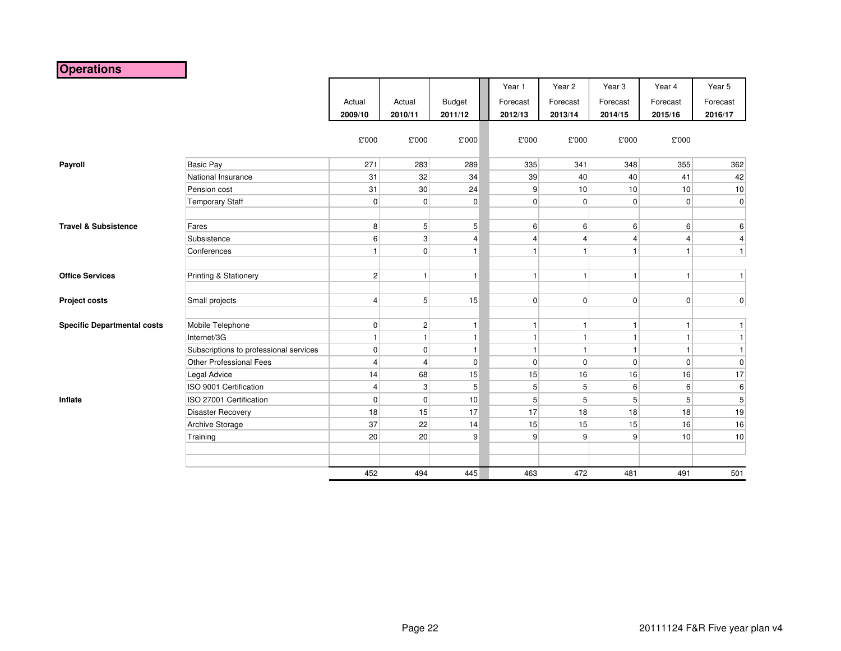# **Operations**

|                                    |                                        |                |                |                | Year 1           | Year <sub>2</sub>       | Year <sub>3</sub> | Year 4         | Year 5          |
|------------------------------------|----------------------------------------|----------------|----------------|----------------|------------------|-------------------------|-------------------|----------------|-----------------|
|                                    |                                        | Actual         | Actual         | <b>Budget</b>  | Forecast         | Forecast                | Forecast          | Forecast       | Forecast        |
|                                    |                                        | 2009/10        | 2010/11        | 2011/12        | 2012/13          | 2013/14                 | 2014/15           | 2015/16        | 2016/17         |
|                                    |                                        |                |                |                |                  |                         |                   |                |                 |
|                                    |                                        | £'000          | £'000          | £'000          | £'000            | £'000                   | £'000             | £'000          |                 |
|                                    |                                        |                |                |                |                  |                         |                   |                |                 |
| Payroll                            | <b>Basic Pay</b>                       | 271            | 283            | 289            | 335              | 341                     | 348               | 355            | 362             |
|                                    | National Insurance                     | 31             | 32             | 34             | 39               | 40                      | 40                | 41             | 42              |
|                                    | Pension cost                           | 31             | $30\,$         | 24             | $\overline{9}$   | 10                      | 10                | 10             | 10              |
|                                    | <b>Temporary Staff</b>                 | 0              | $\mathbf 0$    | $\overline{0}$ | $\overline{0}$   | $\overline{0}$          | $\overline{0}$    | $\overline{0}$ | $\overline{0}$  |
| <b>Travel &amp; Subsistence</b>    | Fares                                  | 8 <sup>1</sup> | 5              | 5              | $6 \overline{6}$ | $6 \mid$                | $6 \mid$          | 6              | 6               |
|                                    |                                        |                |                |                |                  |                         |                   |                |                 |
|                                    | Subsistence                            | 6 <sup>1</sup> | 3              | $\overline{4}$ | $\overline{4}$   | $\overline{\mathbf{4}}$ | $\overline{4}$    | 4              | $\overline{4}$  |
|                                    | Conferences                            | $\mathbf{1}$   | 0              | $\mathbf{1}$   | -1               | $\mathbf{1}$            | $\mathbf{1}$      | $\mathbf{1}$   | $\mathbf{1}$    |
| <b>Office Services</b>             | Printing & Stationery                  | 2 <sup>2</sup> | $\mathbf{1}$   | $\mathbf{1}$   | $\mathbf{1}$     | $\mathbf{1}$            | $\mathbf{1}$      | $\mathbf{1}$   | 1               |
| Project costs                      | Small projects                         | $\vert$        | 5              | 15             | $\overline{0}$   | $\overline{0}$          | $\overline{0}$    | $\overline{0}$ | $\pmb{0}$       |
|                                    |                                        |                |                |                |                  |                         |                   |                |                 |
| <b>Specific Departmental costs</b> | Mobile Telephone                       | 0              | $\overline{c}$ | $\mathbf{1}$   | $\mathbf{1}$     | $\mathbf{1}$            | $\mathbf{1}$      | $\vert$        | $\mathbf{1}$    |
|                                    | Internet/3G                            | $\mathbf{1}$   |                | $\mathbf{1}$   |                  | 1                       | $\mathbf{1}$      | $\mathbf{1}$   | $\mathbf{1}$    |
|                                    | Subscriptions to professional services | $\overline{0}$ | $\mathbf 0$    | $\mathbf{1}$   | $\overline{1}$   | $\mathbf{1}$            | $\mathbf{1}$      | $\mathbf{1}$   | $\mathbf{1}$    |
|                                    | Other Professional Fees                | 4              | 4              | $\overline{0}$ | $\overline{0}$   | $\overline{0}$          | $\overline{0}$    | $\overline{0}$ | $\pmb{0}$       |
|                                    | Legal Advice                           | 14             | 68             | 15             | 15               | 16                      | 16                | 16             | 17              |
|                                    | ISO 9001 Certification                 | $\vert$        | 3              | 5              | 5 <sup>5</sup>   | 5 <sup>5</sup>          | $6 \mid$          | 6 <sup>1</sup> | $6 \,$          |
| Inflate                            | ISO 27001 Certification                | $\overline{0}$ | $\mathbf 0$    | 10             | 5                | 5                       | 5 <sup>5</sup>    | 5 <sup>1</sup> | $5\overline{)}$ |
|                                    | <b>Disaster Recovery</b>               | 18             | 15             | 17             | 17               | 18                      | 18                | 18             | 19              |
|                                    | Archive Storage                        | 37             | 22             | 14             | 15               | 15                      | 15                | 16             | 16              |
|                                    | Training                               | 20             | 20             | 9              | 9                | 9                       | 9                 | 10             | 10              |
|                                    |                                        |                |                |                |                  |                         |                   |                |                 |
|                                    |                                        |                |                |                |                  |                         |                   |                |                 |
|                                    |                                        | 452            | 494            | 445            | 463              | 472                     | 481               | 491            | 501             |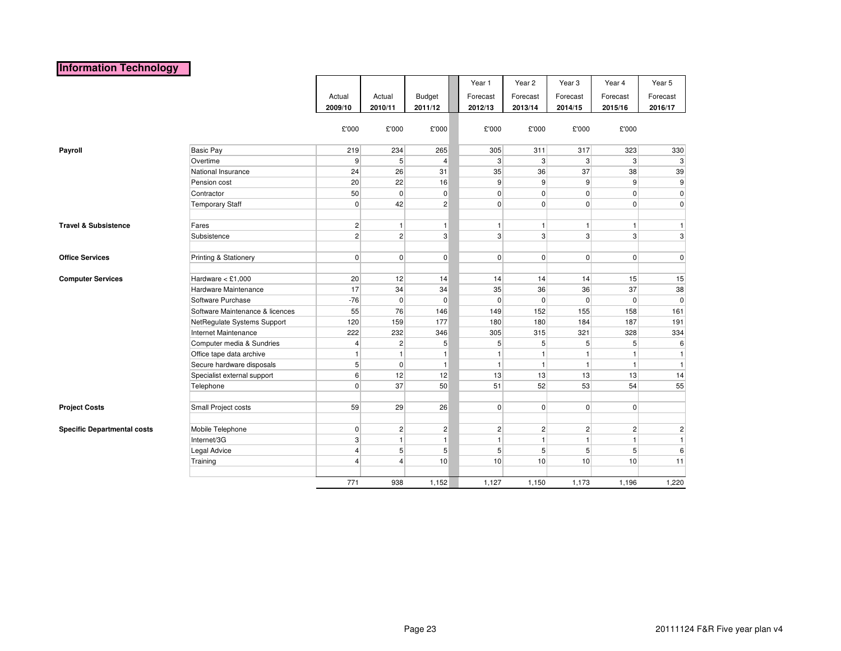# **Information Technology**

|                                    |                                 |                |                |                | Year 1         | Year 2         | Year <sub>3</sub> | Year 4         | Year 5           |
|------------------------------------|---------------------------------|----------------|----------------|----------------|----------------|----------------|-------------------|----------------|------------------|
|                                    |                                 | Actual         | Actual         | Budget         | Forecast       | Forecast       | Forecast          | Forecast       | Forecast         |
|                                    |                                 | 2009/10        | 2010/11        |                |                |                |                   | 2015/16        |                  |
|                                    |                                 |                |                | 2011/12        | 2012/13        | 2013/14        | 2014/15           |                | 2016/17          |
|                                    |                                 | £'000          | £'000          | £'000          | £'000          | £'000          | £'000             | £'000          |                  |
| Payroll                            | <b>Basic Pay</b>                | 219            | 234            | 265            | 305            | 311            | 317               | 323            | 330              |
|                                    | Overtime                        | 9              | 5              | 4              | 3 <sup>1</sup> | $\mathbf{3}$   | 3 <sup>1</sup>    | $\mathbf{3}$   | $\mathbf{3}$     |
|                                    | National Insurance              | 24             | 26             | 31             | 35             | 36             | 37                | 38             | 39               |
|                                    | Pension cost                    | 20             | 22             | 16             | 9              | $\overline{9}$ | $\overline{9}$    | $\overline{9}$ | $9\,$            |
|                                    | Contractor                      | 50             | $\mathbf 0$    | 0              | $\overline{0}$ | $\overline{0}$ | $\overline{0}$    | $\overline{0}$ | $\pmb{0}$        |
|                                    | <b>Temporary Staff</b>          | $\Omega$       | 42             | $\overline{c}$ | $\overline{0}$ | $\Omega$       | $\overline{0}$    | $\overline{0}$ | $\overline{0}$   |
|                                    |                                 |                |                |                |                |                |                   |                |                  |
| <b>Travel &amp; Subsistence</b>    | Fares                           | 2              | $\mathbf{1}$   | $\mathbf{1}$   | 1              | $\mathbf{1}$   | 1                 | 1              | $\mathbf{1}$     |
|                                    | Subsistence                     | $\overline{c}$ | $\overline{2}$ | 3              | 3 <sup>1</sup> | 3              | $\mathbf{3}$      | $\mathbf{3}$   | $\overline{3}$   |
|                                    |                                 |                |                |                |                |                |                   |                |                  |
| <b>Office Services</b>             | Printing & Stationery           | 0              | $\mathbf 0$    | $\overline{0}$ | $\overline{0}$ | $\overline{0}$ | $\overline{0}$    | $\overline{0}$ | $\overline{0}$   |
|                                    |                                 |                |                |                |                |                |                   |                |                  |
| <b>Computer Services</b>           | Hardware $<$ £1,000             | 20             | 12             | 14             | 14             | 14             | 14                | 15             | 15               |
|                                    | Hardware Maintenance            | 17             | 34             | 34             | 35             | 36             | 36                | 37             | 38               |
|                                    | Software Purchase               | $-76$          | $\overline{0}$ | 0              | $\overline{0}$ | $\overline{0}$ | $\overline{0}$    | $\overline{0}$ | $\overline{0}$   |
|                                    | Software Maintenance & licences | 55             | 76             | 146            | 149            | 152            | 155               | 158            | 161              |
|                                    | NetRegulate Systems Support     | 120            | 159            | 177            | 180            | 180            | 184               | 187            | 191              |
|                                    | Internet Maintenance            | 222            | 232            | 346            | 305            | 315            | 321               | 328            | 334              |
|                                    | Computer media & Sundries       | 4              | $\sqrt{2}$     | 5              | 5 <sup>5</sup> | 5              | 5 <sup>1</sup>    | 5 <sup>1</sup> | $6 \overline{6}$ |
|                                    | Office tape data archive        | $\mathbf{1}$   | $\mathbf{1}$   | $\mathbf{1}$   | $\mathbf{1}$   | $\mathbf{1}$   | $\mathbf{1}$      | $\mathbf{1}$   | $\vert$ 1        |
|                                    | Secure hardware disposals       | 5              | $\mathbf 0$    | $\mathbf{1}$   | 1              | $\mathbf{1}$   | $\overline{1}$    | $\vert$        | $\vert$ 1        |
|                                    | Specialist external support     | 6              | 12             | 12             | 13             | 13             | 13                | 13             | 14               |
|                                    | Telephone                       | 0              | 37             | 50             | 51             | 52             | 53                | 54             | 55               |
|                                    |                                 |                |                |                |                |                |                   |                |                  |
| <b>Project Costs</b>               | Small Project costs             | 59             | 29             | 26             | $\overline{0}$ | $\overline{0}$ | $\overline{0}$    | $\overline{0}$ |                  |
|                                    |                                 |                |                |                |                |                |                   |                |                  |
| <b>Specific Departmental costs</b> | Mobile Telephone                | $\overline{0}$ | $\overline{c}$ | $\overline{c}$ | 2              | 2 <sup>2</sup> | $\overline{2}$    | $\overline{2}$ | $\mathbf{2}$     |
|                                    | Internet/3G                     | 3              | $\mathbf{1}$   | $\mathbf{1}$   | 1              | $\mathbf{1}$   | $\mathbf{1}$      | $\mathbf{1}$   | 1                |
|                                    | Legal Advice                    | 4              | 5              | 5              | 5 <sup>1</sup> | 5 <sup>1</sup> | 5 <sup>1</sup>    | 5 <sup>1</sup> | $6 \overline{6}$ |
|                                    | Training                        | $\overline{4}$ | $\overline{A}$ | 10             | 10             | 10             | 10                | 10             | 11               |
|                                    |                                 |                |                |                |                |                |                   |                |                  |
|                                    |                                 | 771            | 938            | 1,152          | 1,127          | 1,150          | 1,173             | 1,196          | 1,220            |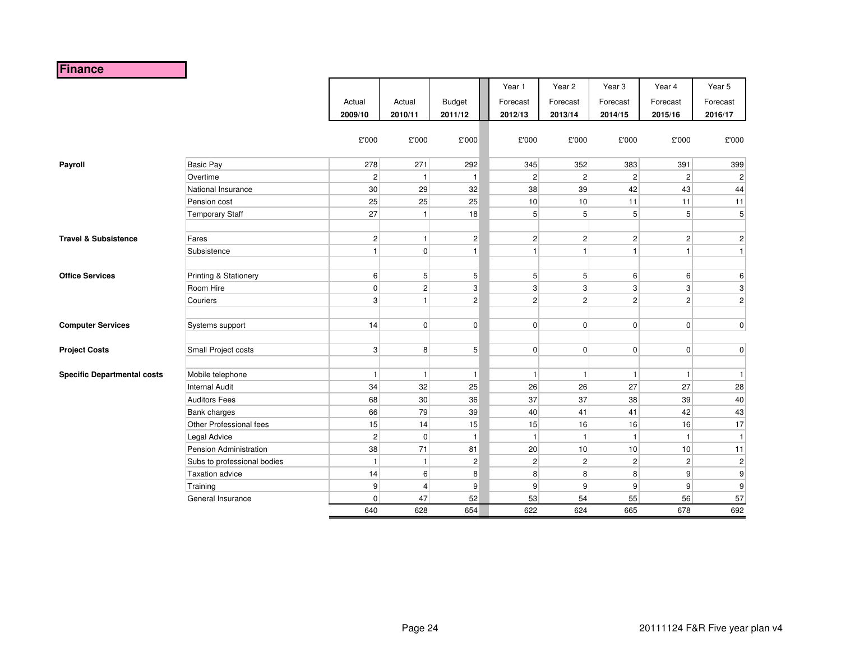# **Finance**

|                                    |                             | Actual<br>2009/10<br>£'000 | Actual<br>2010/11<br>£'000 | <b>Budget</b><br>2011/12<br>£'000 | Year 1<br>Forecast<br>2012/13<br>£'000 | Year 2<br>Forecast<br>2013/14<br>$\pounds$ 000 | Year <sub>3</sub><br>Forecast<br>2014/15<br>£'000 | Year 4<br>Forecast<br>2015/16<br>£'000 | Year 5<br>Forecast<br>2016/17<br>£'000 |
|------------------------------------|-----------------------------|----------------------------|----------------------------|-----------------------------------|----------------------------------------|------------------------------------------------|---------------------------------------------------|----------------------------------------|----------------------------------------|
| Payroll                            | <b>Basic Pay</b>            | 278                        | 271                        | 292                               | 345                                    | 352                                            | 383                                               | 391                                    | 399                                    |
|                                    | Overtime                    | $\overline{2}$             | $\overline{1}$             | $\mathbf{1}$                      | $\overline{\mathbf{c}}$                | 2 <sup>2</sup>                                 | $\mathbf{2}$                                      | $\overline{2}$                         | $\overline{2}$                         |
|                                    | National Insurance          | 30                         | 29                         | 32                                | 38                                     | 39                                             | 42                                                | 43                                     | 44                                     |
|                                    | Pension cost                | 25                         | 25                         | 25                                | 10                                     | 10                                             | 11                                                | 11                                     | 11                                     |
|                                    | <b>Temporary Staff</b>      | 27                         | $\overline{1}$             | 18                                | 5                                      | 5 <sup>1</sup>                                 | 5 <sup>1</sup>                                    | 5 <sup>1</sup>                         | 5 <sup>1</sup>                         |
|                                    |                             |                            |                            |                                   |                                        |                                                |                                                   |                                        |                                        |
| <b>Travel &amp; Subsistence</b>    | Fares                       | 2                          | $\overline{1}$             | $\mathbf{2}$                      | $\overline{c}$                         | 2                                              | $\mathbf{2}$                                      | 2                                      | $\vert$ 2                              |
|                                    | Subsistence                 | $\vert$                    | $\mathbf 0$                | 1                                 | $\mathbf{1}$                           | $\mathbf{1}$                                   | $\mathbf{1}$                                      | $\mathbf{1}$                           | 1                                      |
|                                    |                             |                            |                            |                                   |                                        |                                                |                                                   |                                        |                                        |
| <b>Office Services</b>             | Printing & Stationery       | $6 \mid$                   | 5 <sup>1</sup>             | 5                                 | 5                                      | 5 <sup>1</sup>                                 | $6 \mid$                                          | $6 \overline{6}$                       | $6 \mid$                               |
|                                    | Room Hire                   | $\mathbf{0}$               | $\overline{2}$             | 3                                 | 3                                      | $\mathbf{3}$                                   | $\mathbf{3}$                                      | $\vert$ 3                              | $\lvert 3 \rvert$                      |
|                                    | Couriers                    | $\mathbf{3}$               | $\overline{1}$             | $\overline{c}$                    | $\overline{c}$                         | $\overline{2}$                                 | $\mathbf{2}$                                      | $\overline{2}$                         | $\vert$ 2                              |
|                                    |                             |                            |                            |                                   |                                        |                                                |                                                   |                                        |                                        |
| <b>Computer Services</b>           | Systems support             | 14                         | $\mathbf 0$                | 0                                 | 0                                      | $\overline{0}$                                 | $\overline{0}$                                    | $\mathbf{0}$                           | 0                                      |
|                                    |                             |                            |                            |                                   |                                        |                                                |                                                   |                                        |                                        |
| <b>Project Costs</b>               | Small Project costs         | 3                          | 8                          | 5 <sup>2</sup>                    | 0                                      | $\overline{0}$                                 | $\overline{0}$                                    | $\overline{0}$                         | 0                                      |
|                                    |                             |                            |                            |                                   |                                        |                                                |                                                   |                                        |                                        |
| <b>Specific Departmental costs</b> | Mobile telephone            | $\vert$                    | $\overline{1}$             | 1                                 | 1                                      | 1                                              | $\mathbf{1}$                                      | $\mathbf{1}$                           | $\mathbf{1}$                           |
|                                    | <b>Internal Audit</b>       | 34                         | 32                         | 25                                | 26                                     | 26                                             | 27                                                | 27                                     | 28                                     |
|                                    | <b>Auditors Fees</b>        | 68                         | 30                         | 36                                | 37                                     | 37                                             | 38                                                | 39                                     | 40                                     |
|                                    | Bank charges                | 66                         | 79                         | 39                                | 40                                     | 41                                             | 41                                                | 42                                     | 43                                     |
|                                    | Other Professional fees     | 15                         | 14                         | 15                                | 15                                     | 16                                             | 16                                                | 16                                     | 17                                     |
|                                    | Legal Advice                | $\overline{2}$             | $\mathbf 0$                | $\mathbf{1}$                      | $\mathbf{1}$                           | $\mathbf{1}$                                   | $\mathbf{1}$                                      | $\mathbf{1}$                           | $\mathbf{1}$                           |
|                                    | Pension Administration      | 38                         | 71                         | 81                                | 20                                     | 10                                             | 10                                                | 10                                     | 11                                     |
|                                    | Subs to professional bodies | $\mathbf{1}$               | $\overline{1}$             | $\mathbf 2$                       | $\overline{c}$                         | $\mathbf{2}$                                   | $\mathbf{2}$                                      | $\overline{2}$                         | $\overline{c}$                         |
|                                    | <b>Taxation advice</b>      | 14                         | 6                          | 8                                 | 8                                      | 8 <sup>1</sup>                                 | 8                                                 | $\mathsf{g}$                           | $\boldsymbol{9}$                       |
|                                    | Training                    | $\overline{9}$             | 4                          | 9                                 | 9                                      | 9 <sup>1</sup>                                 | 9                                                 | 9                                      | 9                                      |
|                                    | General Insurance           | $\mathbf 0$                | 47                         | 52                                | 53                                     | 54                                             | 55                                                | 56                                     | 57                                     |
|                                    |                             | 640                        | 628                        | 654                               | 622                                    | 624                                            | 665                                               | 678                                    | 692                                    |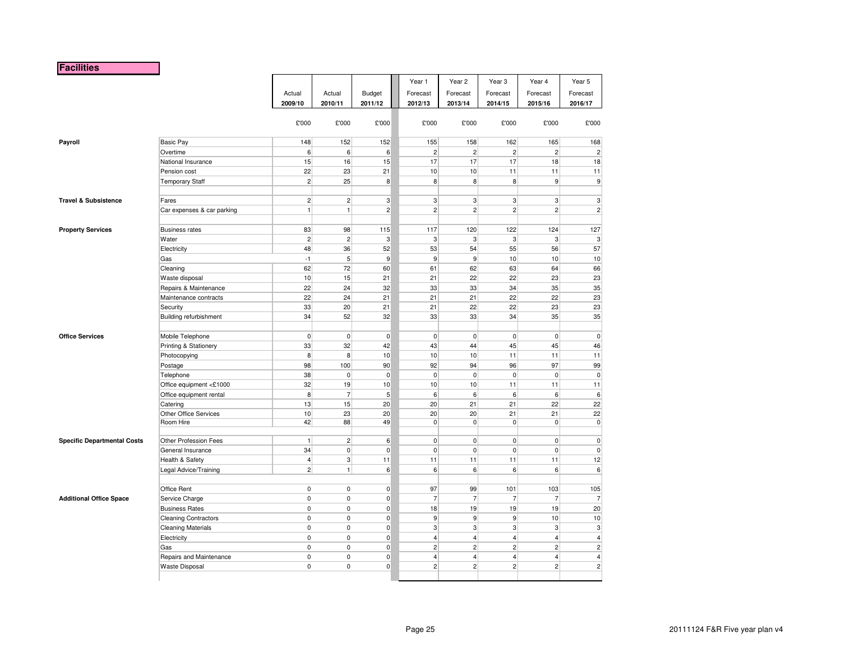#### **Facilities**

|                                    |                               |                |                 |                  | Year 1         | Year 2           | Year 3         | Year 4                  | Year 5         |
|------------------------------------|-------------------------------|----------------|-----------------|------------------|----------------|------------------|----------------|-------------------------|----------------|
|                                    |                               | Actual         | Actual          | <b>Budget</b>    | Forecast       | Forecast         | Forecast       | Forecast                | Forecast       |
|                                    |                               | 2009/10        | 2010/11         | 2011/12          | 2012/13        | 2013/14          | 2014/15        | 2015/16                 | 2016/17        |
|                                    |                               |                |                 |                  |                |                  |                |                         |                |
|                                    |                               | £'000          | £'000           | £'000            | £'000          | £'000            | £'000          | £'000                   | £'000          |
| Payroll                            | <b>Basic Pay</b>              | 148            | 152             | 152              | 155            | 158              | 162            | 165                     | 168            |
|                                    | Overtime                      | 6              | $6\overline{6}$ | 6                | $\overline{2}$ | 2 <sup>2</sup>   | $\overline{2}$ | $\overline{2}$          | $\overline{2}$ |
|                                    | National Insurance            | 15             | 16              | 15               | 17             | 17               | 17             | 18                      | 18             |
|                                    | Pension cost                  | 22             | 23              | 21               | 10             | 10               | 11             | 11                      | 11             |
|                                    | <b>Temporary Staff</b>        | $\overline{2}$ | 25              | 8                | 8              | 8 <sup>1</sup>   | 8              | $9\,$                   | 9              |
|                                    |                               |                |                 |                  |                |                  |                |                         |                |
| <b>Travel &amp; Subsistence</b>    | Fares                         | $\overline{2}$ | $\overline{2}$  | 3                | 3              | $\overline{3}$   | 3              | 3                       | 3              |
|                                    | Car expenses & car parking    | $\mathbf{1}$   | $\mathbf{1}$    | $\overline{c}$   | $\overline{2}$ | 2 <sup>2</sup>   | 2              | $\overline{c}$          | $\overline{c}$ |
| <b>Property Services</b>           | <b>Business rates</b>         | 83             | 98              | 115              | 117            | 120              | 122            | 124                     | 127            |
|                                    | Water                         | $\sqrt{2}$     | $\overline{c}$  | 3                | 3              | $\overline{3}$   | $\mathbf{3}$   | 3                       | 3              |
|                                    | Electricity                   | 48             | 36              | 52               | 53             | 54               | 55             | 56                      | 57             |
|                                    | Gas                           | $-1$           | $\sqrt{5}$      | 9                | 9              | $\overline{9}$   | 10             | $10$                    | 10             |
|                                    | Cleaning                      | 62             | 72              | 60               | 61             | 62               | 63             | 64                      | 66             |
|                                    | Waste disposal                | 10             | 15              | 21               | 21             | 22               | 22             | 23                      | 23             |
|                                    | Repairs & Maintenance         | 22             | 24              | 32               | 33             | 33               | 34             | 35                      | 35             |
|                                    | Maintenance contracts         | 22             | 24              | 21               | 21             | 21               | 22             | 22                      | 23             |
|                                    | Security                      | 33             | 20              | 21               | 21             | 22               | 22             | 23                      | 23             |
|                                    | <b>Building refurbishment</b> | 34             | 52              | 32               | 33             | 33               | 34             | 35                      | 35             |
| <b>Office Services</b>             | Mobile Telephone              | $\pmb{0}$      | $\mathbf 0$     | $\pmb{0}$        | $\overline{0}$ | $\overline{0}$   | $\overline{0}$ | $\mathbf 0$             | $\mathbf 0$    |
|                                    | Printing & Stationery         | 33             | 32              | 42               | 43             | 44               | 45             | 45                      | 46             |
|                                    | Photocopying                  | 8              | 8               | 10               | 10             | 10               | 11             | 11                      | 11             |
|                                    | Postage                       | 98             | 100             | 90               | 92             | 94               | 96             | 97                      | 99             |
|                                    | Telephone                     | 38             | $\pmb{0}$       | $\pmb{0}$        | $\overline{0}$ | $\mathbf 0$      | $\overline{0}$ | $\mathbf 0$             | $\mathbf{0}$   |
|                                    | Office equipment <£1000       | 32             | 19              | $10$             | 10             | 10               | 11             | 11                      | 11             |
|                                    | Office equipment rental       | 8              | $\overline{7}$  | $\overline{5}$   | $\,$ 6 $\,$    | 6                | 6              | 6                       | 6              |
|                                    | Catering                      | 13             | 15              | 20               | 20             | 21               | 21             | 22                      | 22             |
|                                    | Other Office Services         | 10             | 23              | 20               | 20             | 20               | 21             | 21                      | 22             |
|                                    | Room Hire                     | 42             | 88              | 49               | $\overline{0}$ | $\overline{0}$   | $\overline{0}$ | $\mathbf 0$             | $\mathbf{0}$   |
| <b>Specific Departmental Costs</b> | Other Profession Fees         | $\mathbf{1}$   | $\overline{2}$  | $\boldsymbol{6}$ | $\overline{0}$ | $\mathbf{0}$     | $\overline{0}$ | $\mathbf 0$             | $\mathbf 0$    |
|                                    | General Insurance             | 34             | $\pmb{0}$       | $\pmb{0}$        | $\mathbf{0}$   | $\mathbf 0$      | $\overline{0}$ | $\pmb{0}$               | $\overline{0}$ |
|                                    | Health & Safety               | $\overline{4}$ | $\sqrt{3}$      | 11               | 11             | 11               | 11             | 11                      | 12             |
|                                    | Legal Advice/Training         | $\overline{2}$ | $\mathbf{1}$    | 6                | 6              | $6 \overline{6}$ | 6              | 6                       | 6              |
|                                    | Office Rent                   | $\mathbf 0$    | $\mathsf 0$     | $\pmb{0}$        | 97             | 99               | 101            | 103                     | 105            |
| <b>Additional Office Space</b>     | Service Charge                | $\mathbf 0$    | 0               | 0                | $\overline{7}$ | $\overline{7}$   | $\overline{7}$ | $\overline{7}$          | $\overline{7}$ |
|                                    | <b>Business Rates</b>         | $\pmb{0}$      | $\pmb{0}$       | $\pmb{0}$        | 18             | 19               | 19             | 19                      | 20             |
|                                    | <b>Cleaning Contractors</b>   | $\pmb{0}$      | $\pmb{0}$       | $\pmb{0}$        | $9\,$          | $\mathsf{g}$     | 9              | $10$                    | 10             |
|                                    | <b>Cleaning Materials</b>     | $\pmb{0}$      | $\pmb{0}$       | $\pmb{0}$        | $\mathbf{3}$   | 3 <sup>1</sup>   | 3 <sup>1</sup> | 3                       | 3              |
|                                    | Electricity                   | $\pmb{0}$      | $\pmb{0}$       | $\pmb{0}$        | $\overline{4}$ | $\overline{4}$   | $\vert$        | $\overline{\mathbf{4}}$ | $\overline{4}$ |
|                                    | Gas                           | $\pmb{0}$      | $\pmb{0}$       | 0                | 2              | $\mathbf{2}$     | $\overline{2}$ | $\mathbf 2$             | $\overline{2}$ |
|                                    | Repairs and Maintenance       | $\mathbf 0$    | $\mathbf 0$     | 0                | $\overline{4}$ | $\overline{4}$   | $\overline{4}$ | 4                       | $\overline{4}$ |
|                                    | <b>Waste Disposal</b>         | $\mathbf 0$    | $\pmb{0}$       | $\mathbf 0$      | $\overline{2}$ | $\overline{2}$   | $\overline{2}$ | $\overline{c}$          | $\overline{2}$ |
|                                    |                               |                |                 |                  |                |                  |                |                         |                |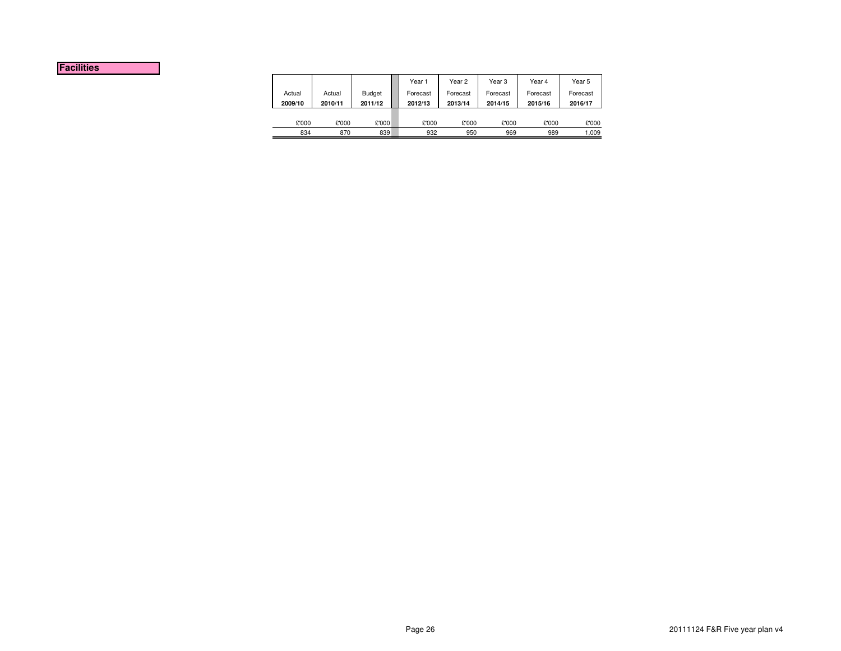#### **Facilities**

|         |         |               | Year 1   | Year 2   | Year 3   | Year 4   | Year 5   |
|---------|---------|---------------|----------|----------|----------|----------|----------|
| Actual  | Actual  | <b>Budget</b> | Forecast | Forecast | Forecast | Forecast | Forecast |
| 2009/10 | 2010/11 | 2011/12       | 2012/13  | 2013/14  | 2014/15  | 2015/16  | 2016/17  |
|         |         |               |          |          |          |          |          |
| £'000   | £'000   | £'000         | £'000    | £'000    | £'000    | £'000    | £'000    |
| 834     | 870     | 839           | 932      | 950      | 969      | 989      |          |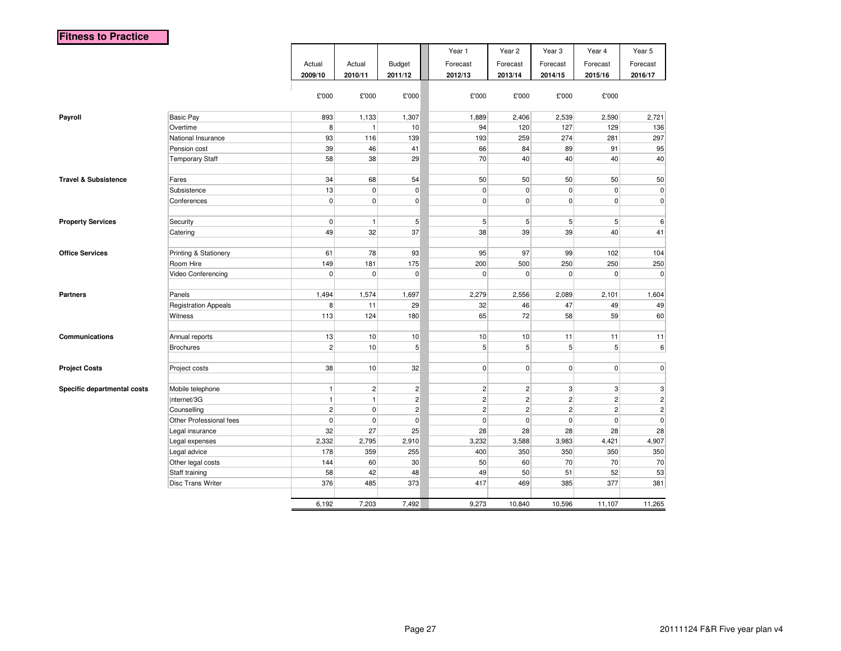|                                 |                             |                |                |                | Year 1         | Year 2         | Year <sub>3</sub> | Year 4         | Year 5                    |
|---------------------------------|-----------------------------|----------------|----------------|----------------|----------------|----------------|-------------------|----------------|---------------------------|
|                                 |                             | Actual         | Actual         | <b>Budget</b>  | Forecast       | Forecast       | Forecast          | Forecast       | Forecast                  |
|                                 |                             | 2009/10        | 2010/11        | 2011/12        | 2012/13        | 2013/14        | 2014/15           | 2015/16        | 2016/17                   |
|                                 |                             |                |                |                |                |                |                   |                |                           |
|                                 |                             | £'000          | £'000          | £'000          | £'000          | £'000          | £'000             | £'000          |                           |
| Payroll                         | <b>Basic Pay</b>            | 893            | 1,133          | 1,307          | 1,889          | 2,406          | 2,539             | 2,590          | 2,721                     |
|                                 | Overtime                    | 8              | $\mathbf{1}$   | 10             | 94             | 120            | 127               | 129            | 136                       |
|                                 | National Insurance          | 93             | 116            | 139            | 193            | 259            | 274               | 281            | 297                       |
|                                 | Pension cost                | 39             | 46             | 41             | 66             | 84             | 89                | 91             | 95                        |
|                                 | <b>Temporary Staff</b>      | 58             | 38             | 29             | 70             | 40             | 40                | 40             | 40                        |
|                                 |                             |                |                |                |                |                |                   |                |                           |
| <b>Travel &amp; Subsistence</b> | Fares                       | 34             | 68             | 54             | 50             | 50             | 50                | 50             | 50                        |
|                                 | Subsistence                 | 13             | $\overline{0}$ | $\mathbf 0$    | $\mathbf 0$    | $\mathbf 0$    | $\mathbf{0}$      | $\pmb{0}$      | $\overline{0}$            |
|                                 | Conferences                 | $\overline{0}$ | $\pmb{0}$      | $\overline{0}$ | $\pmb{0}$      | $\overline{0}$ | $\overline{0}$    | $\overline{0}$ | $\mathbf{0}$              |
|                                 |                             |                |                |                |                |                |                   |                |                           |
| <b>Property Services</b>        | Security                    | $\mathbf 0$    | $\mathbf{1}$   | $\overline{5}$ | 5 <sup>5</sup> | 5 <sup>5</sup> | $5\overline{)}$   | 5              | $6\overline{6}$           |
|                                 | Catering                    | 49             | 32             | 37             | 38             | 39             | 39                | 40             | 41                        |
|                                 |                             |                |                |                |                |                |                   |                |                           |
| <b>Office Services</b>          | Printing & Stationery       | 61             | 78             | 93             | 95             | 97             | 99                | 102            | 104                       |
|                                 | Room Hire                   | 149            | 181            | 175            | 200            | 500            | 250               | 250            | 250                       |
|                                 | Video Conferencing          | $\Omega$       | $\mathbf 0$    | $\mathbf 0$    | $\mathbf 0$    | $\Omega$       | $\overline{0}$    | $\mathbf 0$    | $\mathbf 0$               |
|                                 |                             |                |                |                |                |                |                   |                |                           |
| <b>Partners</b>                 | Panels                      | 1,494          | 1,574          | 1,697          | 2,279          | 2,556          | 2,089             | 2,101          | 1,604                     |
|                                 | <b>Registration Appeals</b> | 8              | 11             | 29             | 32             | 46             | 47                | 49             | 49                        |
|                                 | Witness                     | 113            | 124            | 180            | 65             | 72             | 58                | 59             | 60                        |
|                                 |                             |                |                |                |                |                |                   |                |                           |
| Communications                  | Annual reports              | 13             | 10             | 10             | 10             | 10             | 11                | 11             | 11                        |
|                                 | <b>Brochures</b>            | $\overline{2}$ | 10             | 5              | $\,$ 5 $\,$    | 5 <sup>1</sup> | 5 <sup>1</sup>    | 5 <sup>1</sup> | $\sqrt{6}$                |
|                                 |                             |                |                |                |                |                |                   |                |                           |
| <b>Project Costs</b>            | Project costs               | 38             | 10             | 32             | $\overline{0}$ | $\overline{0}$ | $\mathbf{0}$      | $\pmb{0}$      | $\pmb{0}$                 |
| Specific departmental costs     | Mobile telephone            | $\mathbf{1}$   | 2              | $\overline{c}$ | $\vert$ 2      | $\overline{2}$ | 3                 | $\mathbf{3}$   | $\ensuremath{\mathsf{3}}$ |
|                                 | Internet/3G                 | $\mathbf{1}$   | $\mathbf{1}$   | $\overline{c}$ | $\overline{2}$ | $\overline{2}$ | $\mathbf{2}$      | $\overline{2}$ | $\overline{2}$            |
|                                 | Counselling                 | $\overline{2}$ | $\overline{0}$ | $\overline{c}$ | $\overline{2}$ | $\overline{2}$ | $\overline{2}$    | $\overline{2}$ | $\overline{2}$            |
|                                 | Other Professional fees     | $\mathbf 0$    | $\overline{0}$ | $\mathbf 0$    | $\pmb{0}$      | $\mathbf 0$    | $\mathbf{0}$      | $\pmb{0}$      | $\pmb{0}$                 |
|                                 | Legal insurance             | 32             | 27             | 25             | 28             | 28             | 28                | 28             | 28                        |
|                                 | Legal expenses              | 2,332          | 2,795          | 2,910          | 3,232          | 3,588          | 3,983             | 4,421          | 4,907                     |
|                                 | Legal advice                | 178            | 359            | 255            | 400            | 350            | 350               | 350            | 350                       |
|                                 | Other legal costs           | 144            | 60             | 30             | 50             | 60             | 70                | 70             | 70                        |
|                                 | Staff training              | 58             | 42             | 48             | 49             | 50             | 51                | 52             | 53                        |
|                                 | <b>Disc Trans Writer</b>    | 376            | 485            | 373            | 417            | 469            | 385               | 377            | 381                       |
|                                 |                             |                |                |                |                |                |                   |                |                           |
|                                 |                             | 6,192          | 7,203          | 7,492          | 9,273          | 10,840         | 10,596            | 11,107         | 11,265                    |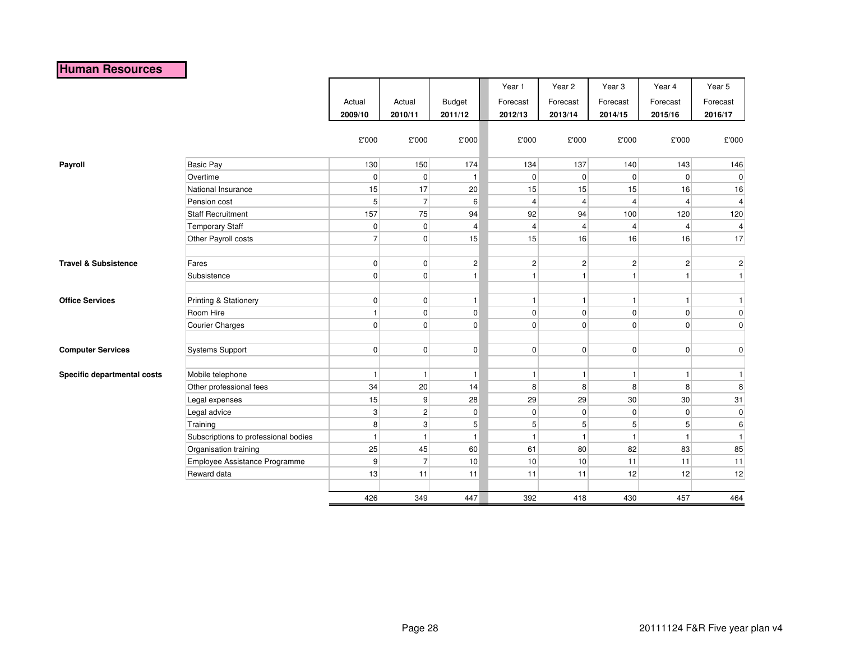# **Human Resources**

|                                 |                                      |                |                |                | Year 1         | Year 2         | Year <sub>3</sub> | Year 4          | Year 5           |
|---------------------------------|--------------------------------------|----------------|----------------|----------------|----------------|----------------|-------------------|-----------------|------------------|
|                                 |                                      | Actual         | Actual         | <b>Budget</b>  | Forecast       | Forecast       | Forecast          | Forecast        | Forecast         |
|                                 |                                      | 2009/10        | 2010/11        | 2011/12        | 2012/13        | 2013/14        | 2014/15           | 2015/16         | 2016/17          |
|                                 |                                      |                |                |                |                |                |                   |                 |                  |
|                                 |                                      | £'000          | £'000          | £'000          | £'000          | £'000          | £'000             | £'000           | £'000            |
|                                 |                                      |                |                |                |                |                |                   |                 |                  |
| Payroll                         | <b>Basic Pay</b>                     | 130            | 150            | 174            | 134            | 137            | 140               | 143             | 146              |
|                                 | Overtime                             | $\overline{0}$ | $\overline{0}$ | $\mathbf{1}$   | $\mathbf 0$    | $\overline{0}$ | $\overline{0}$    | $\overline{0}$  | $\overline{0}$   |
|                                 | National Insurance                   | 15             | 17             | 20             | 15             | 15             | 15                | 16              | 16               |
|                                 | Pension cost                         | 5 <sup>5</sup> | $\overline{7}$ | 6              | $\overline{4}$ | $\overline{4}$ | $\vert$           | $\overline{4}$  | $\overline{4}$   |
|                                 | <b>Staff Recruitment</b>             | 157            | 75             | 94             | 92             | 94             | 100               | 120             | 120              |
|                                 | <b>Temporary Staff</b>               | 0              | $\mathbf 0$    | $\overline{4}$ | 4              | $\overline{4}$ | $\overline{4}$    | $\overline{4}$  | 4                |
|                                 | Other Payroll costs                  | 7              | $\mathbf 0$    | 15             | 15             | 16             | 16                | 16              | 17               |
|                                 |                                      |                |                |                |                |                |                   |                 |                  |
| <b>Travel &amp; Subsistence</b> | Fares                                | 0              | $\mathbf 0$    | $\mathbf{2}$   | $\overline{c}$ | $\overline{2}$ | $\mathbf{2}$      | $\mathbf{2}$    | $\mathbf{2}$     |
|                                 | Subsistence                          | $\overline{0}$ | $\mathbf 0$    | $\mathbf{1}$   | 1              | $\mathbf{1}$   | $\mathbf{1}$      | $\mathbf{1}$    | $\vert$          |
|                                 |                                      |                |                |                |                |                |                   |                 |                  |
| <b>Office Services</b>          | Printing & Stationery                | $\overline{0}$ | $\mathbf 0$    | $\vert$        | 1              | 1 <sup>1</sup> | 1                 | $\mathbf{1}$    | $\mathbf{1}$     |
|                                 | Room Hire                            | $\vert$        | $\mathbf 0$    | $\overline{0}$ | $\mathbf 0$    | $\overline{0}$ | $\overline{0}$    | $\overline{0}$  | $\overline{0}$   |
|                                 | <b>Courier Charges</b>               | $\overline{0}$ | $\mathbf 0$    | $\overline{0}$ | $\mathbf 0$    | $\overline{0}$ | $\overline{0}$    | $\overline{0}$  | $\overline{0}$   |
|                                 |                                      |                |                |                |                |                |                   |                 |                  |
| <b>Computer Services</b>        | Systems Support                      | $\overline{0}$ | $\mathbf 0$    | $\pmb{0}$      | $\mathbf 0$    | $\overline{0}$ | 0                 | $\overline{0}$  | $\overline{0}$   |
|                                 |                                      |                |                |                |                |                |                   |                 |                  |
| Specific departmental costs     | Mobile telephone                     | $\vert$        | -1             | $\vert$ 1      | 1              | $\mathbf{1}$   | $\mathbf{1}$      | $\mathbf{1}$    | $\mathbf{1}$     |
|                                 | Other professional fees              | 34             | 20             | 14             | 8              | 8              | 8 <sup>1</sup>    | 8               | 8                |
|                                 | Legal expenses                       | 15             | 9              | 28             | 29             | 29             | 30 <sup>°</sup>   | 30 <sup>°</sup> | 31               |
|                                 | Legal advice                         | $\mathbf{3}$   | $\overline{c}$ | $\overline{0}$ | 0              | $\overline{0}$ | $\overline{0}$    | $\overline{0}$  | $\overline{0}$   |
|                                 | Training                             | 8 <sup>1</sup> | 3              | 5 <sup>5</sup> | 5              | 5 <sup>1</sup> | 5 <sup>5</sup>    | 5 <sup>1</sup>  | $6 \overline{6}$ |
|                                 | Subscriptions to professional bodies | $\vert$        | -1             | $\mathbf{1}$   | $\mathbf{1}$   | $\mathbf{1}$   | $\mathbf{1}$      | $\mathbf{1}$    | $\mathbf{1}$     |
|                                 | Organisation training                | 25             | 45             | 60             | 61             | 80             | 82                | 83              | 85               |
|                                 | Employee Assistance Programme        | 9              | $\overline{7}$ | 10             | 10             | 10             | 11                | 11              | 11               |
|                                 | Reward data                          | 13             | 11             | 11             | 11             | 11             | 12                | 12              | 12               |
|                                 |                                      |                |                |                |                |                |                   |                 |                  |
|                                 |                                      | 426            | 349            | 447            | 392            | 418            | 430               | 457             | 464              |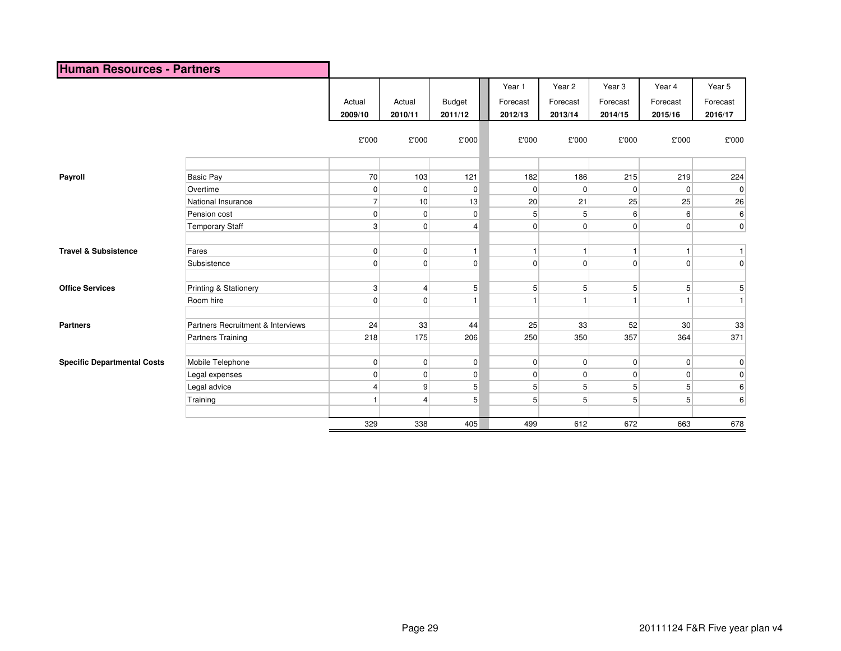| <b>Human Resources - Partners</b>  |                                   |                   |                   |                          |                               |                               |                                          |                               |                               |
|------------------------------------|-----------------------------------|-------------------|-------------------|--------------------------|-------------------------------|-------------------------------|------------------------------------------|-------------------------------|-------------------------------|
|                                    |                                   | Actual<br>2009/10 | Actual<br>2010/11 | <b>Budget</b><br>2011/12 | Year 1<br>Forecast<br>2012/13 | Year 2<br>Forecast<br>2013/14 | Year <sub>3</sub><br>Forecast<br>2014/15 | Year 4<br>Forecast<br>2015/16 | Year 5<br>Forecast<br>2016/17 |
|                                    |                                   | £'000             | £'000             | £'000                    | £'000                         | £'000                         | £'000                                    | £'000                         | £'000                         |
|                                    |                                   |                   |                   |                          |                               |                               |                                          |                               |                               |
| Payroll                            | <b>Basic Pay</b>                  | 70                | 103               | 121                      | 182                           | 186                           | 215                                      | 219                           | 224                           |
|                                    | Overtime                          | $\overline{0}$    | 0                 | $\pmb{0}$                | $\overline{0}$                | $\pmb{0}$                     | $\overline{0}$                           | 0                             | 0                             |
|                                    | National Insurance                | $\overline{7}$    | 10                | 13                       | 20                            | 21                            | 25                                       | 25                            | 26                            |
|                                    | Pension cost                      | $\overline{0}$    | $\mathbf 0$       | $\overline{0}$           | 5                             | 5 <sup>5</sup>                | $6 \,$                                   | 6                             | $6 \overline{6}$              |
|                                    | <b>Temporary Staff</b>            | $\mathbf{3}$      | 0                 | 4                        | $\overline{0}$                | $\overline{0}$                | $\overline{0}$                           | $\overline{0}$                | 0                             |
| <b>Travel &amp; Subsistence</b>    | Fares                             | $\overline{0}$    | $\mathbf 0$       | $\mathbf{1}$             | $\mathbf{1}$                  | $\vert$                       | $\mathbf{1}$                             | $\mathbf{1}$                  | $\vert$                       |
|                                    | Subsistence                       | $\mathbf{0}$      | 0                 | $\overline{0}$           | $\mathbf 0$                   | $\overline{0}$                | $\mathbf{0}$                             | $\overline{0}$                | $\overline{0}$                |
| <b>Office Services</b>             | <b>Printing &amp; Stationery</b>  | $\mathbf{3}$      | 4                 | 5                        | 5                             | $5\overline{)}$               | $5\overline{)}$                          | 5 <sub>l</sub>                | 5 <sup>1</sup>                |
|                                    | Room hire                         | $\mathbf{0}$      | $\mathbf 0$       | 1                        |                               | $\mathbf{1}$                  | $\mathbf{1}$                             |                               | $\mathbf{1}$                  |
| <b>Partners</b>                    | Partners Recruitment & Interviews | 24                | 33                | 44                       | 25                            | 33                            | 52                                       | 30                            | 33                            |
|                                    | Partners Training                 | 218               | 175               | 206                      | 250                           | 350                           | 357                                      | 364                           | 371                           |
| <b>Specific Departmental Costs</b> | Mobile Telephone                  | $\mathbf 0$       | $\mathbf 0$       | $\overline{0}$           | $\mathbf 0$                   | $\mathbf 0$                   | $\overline{0}$                           | $\mathbf 0$                   | $\mathbf 0$                   |
|                                    | Legal expenses                    | $\mathbf 0$       | $\mathbf 0$       | $\pmb{0}$                | 0                             | $\mathbf 0$                   | $\overline{0}$                           | $\mathbf 0$                   | $\overline{0}$                |
|                                    | Legal advice                      | 4                 | 9                 | 5 <sup>1</sup>           | 5 <sup>5</sup>                | $5\overline{)}$               | 5 <sup>5</sup>                           | 5 <sup>5</sup>                | $6 \overline{6}$              |
|                                    | Training                          |                   | 4                 | 5 <sup>1</sup>           | 5                             | 5 <sup>5</sup>                | 5 <sup>5</sup>                           | 5 <sup>5</sup>                | $6 \overline{6}$              |
|                                    |                                   | 329               | 338               | 405                      | 499                           | 612                           | 672                                      | 663                           | 678                           |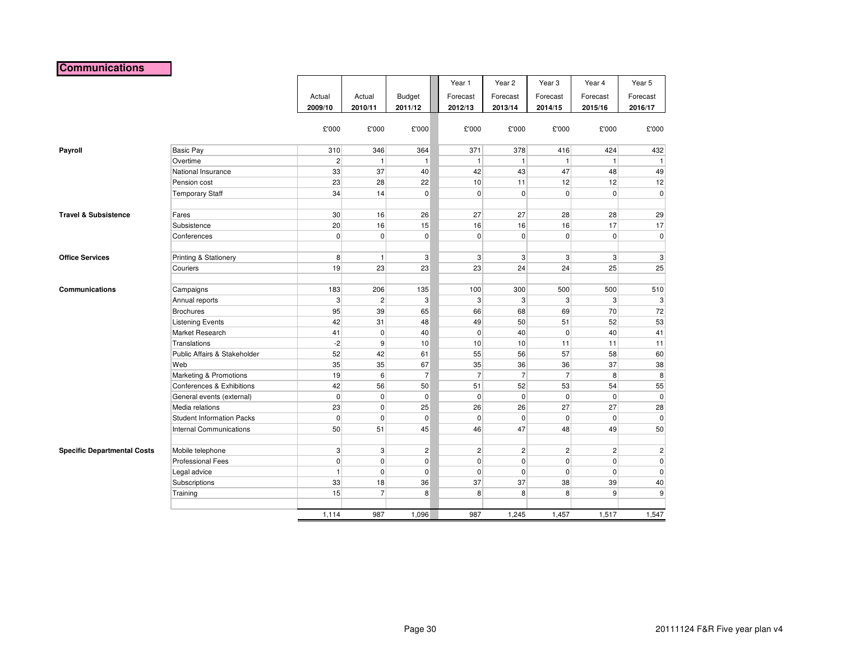#### **Communications**

|                                    |                                  |                 |                |                | Year 1         | Year <sub>2</sub> | Year <sub>3</sub> | Year 4         | Year 5         |
|------------------------------------|----------------------------------|-----------------|----------------|----------------|----------------|-------------------|-------------------|----------------|----------------|
|                                    |                                  | Actual          | Actual         | Budget         | Forecast       | Forecast          | Forecast          | Forecast       | Forecast       |
|                                    |                                  | 2009/10         | 2010/11        | 2011/12        | 2012/13        | 2013/14           | 2014/15           | 2015/16        | 2016/17        |
|                                    |                                  |                 |                |                |                |                   |                   |                |                |
|                                    |                                  | £'000           | £'000          | £'000          | £'000          | £'000             | £'000             | £'000          | £'000          |
|                                    |                                  |                 |                |                |                |                   |                   |                |                |
| Payroll                            | <b>Basic Pay</b>                 | 310             | 346            | 364            | 371            | 378               | 416               | 424            | 432            |
|                                    | Overtime                         | $\overline{2}$  | $\mathbf{1}$   | $\mathbf{1}$   | $\overline{1}$ | $\mathbf{1}$      | $\mathbf{1}$      | 1              | $\overline{1}$ |
|                                    | National Insurance               | 33              | 37             | 40             | 42             | 43                | 47                | 48             | 49             |
|                                    | Pension cost                     | 23              | 28             | 22             | 10             | 11                | 12                | 12             | 12             |
|                                    | <b>Temporary Staff</b>           | 34              | 14             | $\pmb{0}$      | $\mathbf 0$    | $\overline{0}$    | $\mathbf 0$       | $\overline{0}$ | $\pmb{0}$      |
| <b>Travel &amp; Subsistence</b>    | Fares                            | 30 <sup>°</sup> | 16             | 26             | 27             | 27                | 28                | 28             | 29             |
|                                    | Subsistence                      | 20              | 16             | 15             | 16             | 16                | 16                | 17             | 17             |
|                                    | Conferences                      | $\overline{0}$  | $\overline{0}$ | $\mathbf 0$    | $\mathbf 0$    | $\overline{0}$    | $\pmb{0}$         | $\overline{0}$ | 0              |
|                                    |                                  |                 |                |                |                |                   |                   |                |                |
| <b>Office Services</b>             | Printing & Stationery            | 8               | $\mathbf{1}$   | 3              | 3              | $\mathbf{3}$      | 3                 | $\mathbf{3}$   | 3              |
|                                    | Couriers                         | 19              | 23             | 23             | 23             | 24                | 24                | 25             | 25             |
|                                    |                                  |                 |                |                |                |                   |                   |                |                |
| <b>Communications</b>              | Campaigns                        | 183             | 206            | 135            | 100            | 300               | 500               | 500            | 510            |
|                                    | Annual reports                   | $\mathbf{3}$    | $\overline{2}$ | 3              | 3              | 3 <sup>1</sup>    | 3                 | $\overline{3}$ | 3              |
|                                    | <b>Brochures</b>                 | 95              | 39             | 65             | 66             | 68                | 69                | 70             | 72             |
|                                    | <b>Listening Events</b>          | 42              | 31             | 48             | 49             | 50                | 51                | 52             | 53             |
|                                    | Market Research                  | 41              | $\mathbf 0$    | 40             | $\mathbf 0$    | 40                | $\mathbf 0$       | 40             | 41             |
|                                    | <b>Translations</b>              | $-2$            | $\overline{9}$ | 10             | 10             | 10                | 11                | 11             | 11             |
|                                    | Public Affairs & Stakeholder     | 52              | 42             | 61             | 55             | 56                | 57                | 58             | 60             |
|                                    | Web                              | 35              | 35             | 67             | 35             | 36                | 36                | 37             | 38             |
|                                    | Marketing & Promotions           | 19              | 6              | $\overline{7}$ | $\overline{7}$ | $\overline{7}$    | $\overline{7}$    | 8              | 8              |
|                                    | Conferences & Exhibitions        | 42              | 56             | 50             | 51             | 52                | 53                | 54             | 55             |
|                                    | General events (external)        | $\overline{0}$  | $\overline{0}$ | $\mathbf 0$    | $\mathbf 0$    | $\overline{0}$    | $\mathbf 0$       | $\overline{0}$ | 0              |
|                                    | Media relations                  | 23              | $\overline{0}$ | 25             | 26             | 26                | 27                | 27             | 28             |
|                                    | <b>Student Information Packs</b> | $\overline{0}$  | $\overline{0}$ | $\mathbf 0$    | $\mathbf 0$    | $\overline{0}$    | $\pmb{0}$         | $\overline{0}$ | $\pmb{0}$      |
|                                    | <b>Internal Communications</b>   | 50              | 51             | 45             | 46             | 47                | 48                | 49             | 50             |
|                                    |                                  |                 |                |                |                |                   |                   |                |                |
| <b>Specific Departmental Costs</b> | Mobile telephone                 | $\mathbf{3}$    | $\overline{3}$ | $\overline{c}$ | $\overline{2}$ | 2                 | $\overline{c}$    | $\mathbf{2}$   | $\sqrt{2}$     |
|                                    | <b>Professional Fees</b>         | $\overline{0}$  | $\overline{0}$ | $\mathbf 0$    | $\mathbf 0$    | $\overline{0}$    | 0                 | $\overline{0}$ | $\pmb{0}$      |
|                                    | Legal advice                     | $\mathbf{1}$    | $\overline{0}$ | $\mathbf 0$    | $\mathbf 0$    | $\overline{0}$    | $\pmb{0}$         | $\overline{0}$ | 0              |
|                                    | Subscriptions                    | 33              | 18             | 36             | 37             | 37                | 38                | 39             | 40             |
|                                    | Training                         | 15              | $\overline{7}$ | 8              | 8              | $\boldsymbol{8}$  | 8                 | $\overline{9}$ | 9              |
|                                    |                                  |                 |                |                |                |                   |                   |                |                |
|                                    |                                  | 1,114           | 987            | 1,096          | 987            | 1,245             | 1,457             | 1,517          | 1,547          |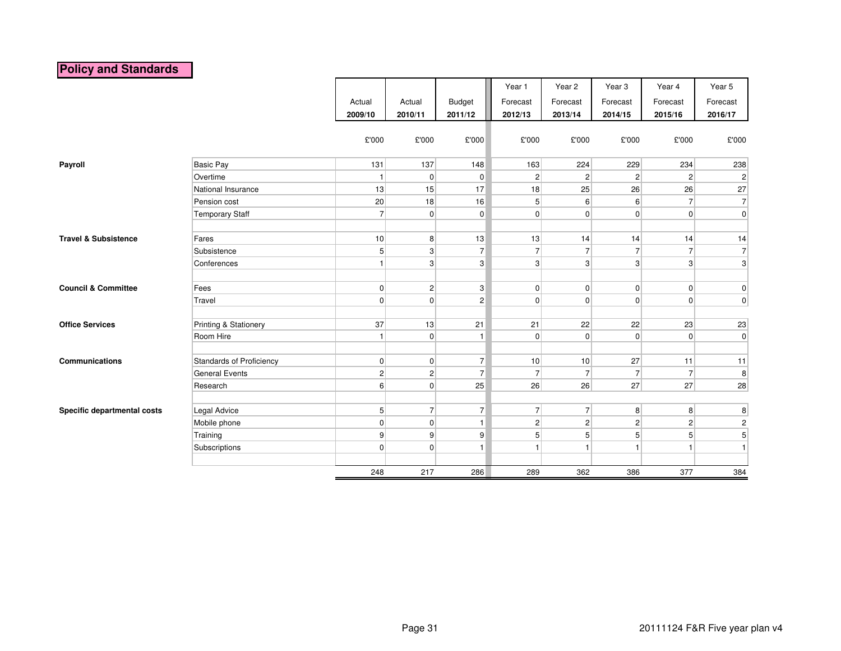# **Policy and Standards**

|                                 |                                 |                |                |                | Year 1         | Year 2         | Year 3         | Year 4         | Year 5           |
|---------------------------------|---------------------------------|----------------|----------------|----------------|----------------|----------------|----------------|----------------|------------------|
|                                 |                                 | Actual         | Actual         | <b>Budget</b>  | Forecast       | Forecast       | Forecast       | Forecast       | Forecast         |
|                                 |                                 | 2009/10        | 2010/11        | 2011/12        | 2012/13        | 2013/14        | 2014/15        | 2015/16        | 2016/17          |
|                                 |                                 |                |                |                |                |                |                |                |                  |
|                                 |                                 | £'000          | £'000          | £'000          | £'000          | £'000          | £'000          | £'000          | £'000            |
|                                 |                                 |                |                |                |                |                |                |                |                  |
| Payroll                         | <b>Basic Pay</b>                | 131            | 137            | 148            | 163            | 224            | 229            | 234            | 238              |
|                                 | Overtime                        | $\mathbf{1}$   | 0              | $\overline{0}$ | $\overline{2}$ | $\sqrt{2}$     | $\overline{c}$ | $\mathbf{2}$   | $\overline{2}$   |
|                                 | National Insurance              | 13             | 15             | 17             | 18             | 25             | 26             | 26             | 27               |
|                                 | Pension cost                    | 20             | 18             | 16             | 5 <sup>5</sup> | 6              | $6 \mid$       | $\overline{7}$ | $\overline{7}$   |
|                                 | <b>Temporary Staff</b>          | $\overline{7}$ | 0              | $\overline{0}$ | $\overline{0}$ | $\overline{0}$ | $\overline{0}$ | 0              | $\overline{0}$   |
|                                 |                                 |                |                |                |                |                |                |                |                  |
| <b>Travel &amp; Subsistence</b> | Fares                           | 10             | 8 <sup>1</sup> | 13             | 13             | 14             | 14             | 14             | 14               |
|                                 | Subsistence                     | 5              | 3 <sup>1</sup> | $\overline{7}$ | 7              | $\overline{7}$ | $\overline{7}$ | $\overline{7}$ | $\overline{7}$   |
|                                 | Conferences                     | 1              | 3 <sup>1</sup> | $\mathbf{3}$   | 3              | $\mathbf{3}$   | $\mathbf{3}$   | 3 <sup>1</sup> | $\mathbf{3}$     |
|                                 |                                 |                |                |                |                |                |                |                |                  |
| <b>Council &amp; Committee</b>  | Fees                            | $\overline{0}$ | 2              | $\mathbf{3}$   | $\overline{0}$ | $\overline{0}$ | $\overline{0}$ | $\overline{0}$ | $\overline{0}$   |
|                                 | Travel                          | $\overline{0}$ | 0              | $\overline{2}$ | $\mathbf 0$    | $\overline{0}$ | $\overline{0}$ | $\overline{0}$ | 0                |
|                                 |                                 |                |                |                |                |                |                |                |                  |
| <b>Office Services</b>          | Printing & Stationery           | 37             | 13             | 21             | 21             | 22             | 22             | 23             | 23               |
|                                 | Room Hire                       | 1              | 0              | $\mathbf{1}$   | $\mathbf 0$    | 0              | $\overline{0}$ | $\overline{0}$ | $\overline{0}$   |
|                                 |                                 |                |                |                |                |                |                |                |                  |
| Communications                  | <b>Standards of Proficiency</b> | $\overline{0}$ | 0              | $\overline{7}$ | 10             | 10             | 27             | 11             | 11               |
|                                 | <b>General Events</b>           | $\mathbf{2}$   | $\vert$ 2      | $\overline{7}$ | 7              | $\overline{7}$ | $\overline{7}$ | $\overline{7}$ | 8                |
|                                 | Research                        | $6 \mid$       | $\overline{0}$ | 25             | 26             | 26             | 27             | 27             | 28               |
|                                 |                                 |                |                |                |                |                |                |                |                  |
| Specific departmental costs     | Legal Advice                    | 5 <sup>1</sup> | 7 <sup>1</sup> | $\overline{7}$ | $\overline{7}$ | $\overline{7}$ | 8 <sup>2</sup> | 8 <sup>1</sup> | $\bf8$           |
|                                 | Mobile phone                    | $\overline{0}$ | 0              | 1              | $\overline{2}$ | $\mathbf 2$    | $\mathbf{2}$   | 2              | $\boldsymbol{2}$ |
|                                 | Training                        | $\mathbf{9}$   | 9              | 9              | 5              | 5              | 5 <sup>1</sup> | 5 <sup>1</sup> | $\overline{5}$   |
|                                 | Subscriptions                   | $\overline{0}$ | $\overline{0}$ | $\overline{1}$ |                | $\mathbf{1}$   | $\mathbf{1}$   | $\mathbf{1}$   | $\mathbf{1}$     |
|                                 |                                 |                |                |                |                |                |                |                |                  |
|                                 |                                 | 248            | 217            | 286            | 289            | 362            | 386            | 377            | 384              |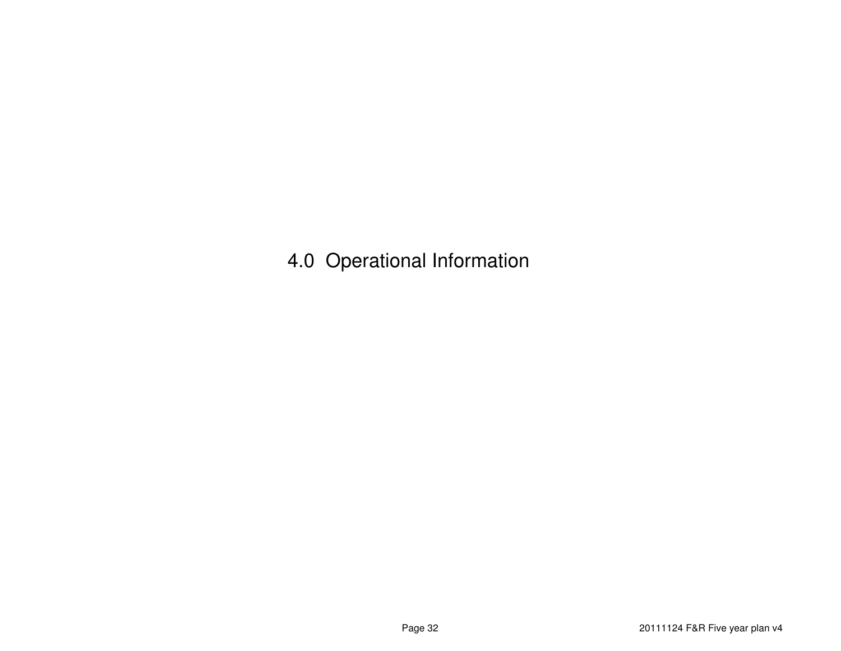4.0 Operational Information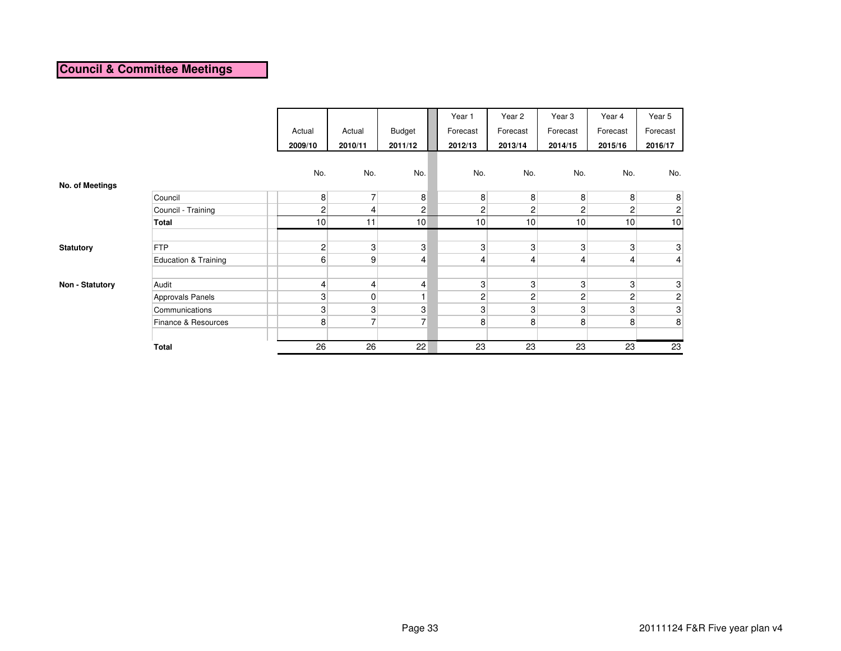# **Council & Committee Meetings**

|                  |                                 |                |                 |                | Year 1          | Year 2         | Year <sub>3</sub> | Year 4         | Year 5                    |
|------------------|---------------------------------|----------------|-----------------|----------------|-----------------|----------------|-------------------|----------------|---------------------------|
|                  |                                 | Actual         | Actual          | <b>Budget</b>  | Forecast        | Forecast       | Forecast          | Forecast       | Forecast                  |
|                  |                                 | 2009/10        | 2010/11         | 2011/12        | 2012/13         | 2013/14        | 2014/15           | 2015/16        | 2016/17                   |
|                  |                                 |                |                 |                |                 |                |                   |                |                           |
|                  |                                 | No.            | No.             | No.            | No.             | No.            | No.               | No.            | No.                       |
| No. of Meetings  |                                 |                |                 |                |                 |                |                   |                |                           |
|                  | Council                         | 8 <sup>1</sup> | $\overline{7}$  | 8              | 8 <sup>1</sup>  | 8              | 8                 | 8              | $\boldsymbol{8}$          |
|                  | Council - Training              | $\overline{2}$ | $\vert 4 \vert$ | $\overline{c}$ | $\overline{2}$  | $\overline{2}$ | $\overline{c}$    | 2              | $\mathbf{2}$              |
|                  | Total                           | 10             | 11              | 10             | 10 <sup>1</sup> | 10             | 10                | 10             | 10                        |
|                  |                                 |                |                 |                |                 |                |                   |                |                           |
| <b>Statutory</b> | <b>FTP</b>                      | $\overline{2}$ | 3 <sup>1</sup>  | 3              | 3 <sup>1</sup>  | 3              | 3                 | 3              | 3                         |
|                  | <b>Education &amp; Training</b> | $6 \mid$       | $\overline{9}$  | $\overline{4}$ | 4               | 4              | 4                 | 4              | $\overline{4}$            |
|                  |                                 |                |                 |                |                 |                |                   |                |                           |
| Non - Statutory  | Audit                           | 4              | $\vert 4 \vert$ | $\overline{4}$ | 3               | 3              | 3                 | 3              | $\ensuremath{\mathsf{3}}$ |
|                  | Approvals Panels                | 3              | $\overline{0}$  |                | $\overline{c}$  | $\overline{c}$ | $\overline{c}$    | $\overline{c}$ | $\mathbf{2}$              |
|                  | Communications                  | 3 <sub>l</sub> | 3               | 3              | 3               | 3              | 3                 | 3              | $\mathbf{3}$              |
|                  | Finance & Resources             | 8              | $\overline{7}$  | $\overline{7}$ | 8               | 8              | 8                 | 8              | 8                         |
|                  |                                 |                |                 |                |                 |                |                   |                |                           |
|                  | <b>Total</b>                    | 26             | 26              | 22             | 23              | 23             | 23                | 23             | 23                        |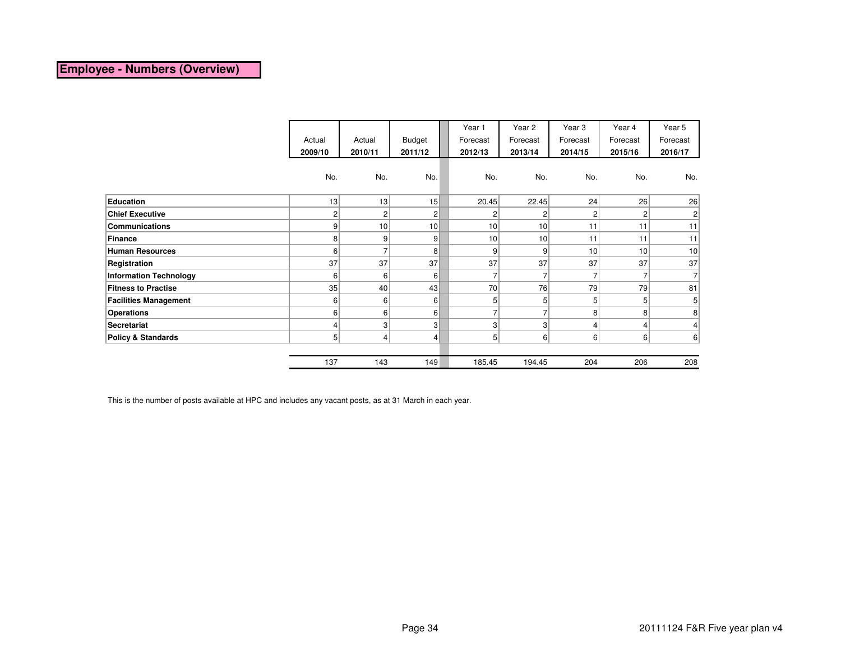#### **Employee - Numbers (Overview)**

|                               |                |                 |                 |  | Year 1          | Year 2          | Year <sub>3</sub> | Year 4         | Year 5         |
|-------------------------------|----------------|-----------------|-----------------|--|-----------------|-----------------|-------------------|----------------|----------------|
|                               | Actual         | Actual          | <b>Budget</b>   |  | Forecast        | Forecast        | Forecast          | Forecast       | Forecast       |
|                               | 2009/10        | 2010/11         | 2011/12         |  | 2012/13         | 2013/14         | 2014/15           | 2015/16        | 2016/17        |
|                               |                |                 |                 |  |                 |                 |                   |                |                |
|                               | No.            | No.             | No.             |  | No.             | No.             | No.               | No.            | No.            |
|                               |                |                 |                 |  |                 |                 |                   |                |                |
| Education                     | 13             | 13              | 15              |  | 20.45           | 22.45           | 24                | 26             | 26             |
| <b>Chief Executive</b>        | 2              | 2               | $\overline{2}$  |  | 2               | 2               | 2                 | 2              | $\overline{c}$ |
| <b>Communications</b>         | 9              | 10 <sup>1</sup> | 10 <sup>1</sup> |  | 10 <sup>1</sup> | 10 <sup>1</sup> | 11                | 11             | 11             |
| Finance                       | 8              | 9               | $\vert 9 \vert$ |  | 10              | 10 <sup>1</sup> | 11                | 11             | 11             |
| <b>Human Resources</b>        | 6              | 7               | 8 <sup>1</sup>  |  | 9               | $\vert 9 \vert$ | 10 <sup>1</sup>   | 10             | 10             |
| Registration                  | 37             | 37              | 37              |  | 37              | 37              | 37                | 37             | 37             |
| <b>Information Technology</b> | 6              | $6 \mid$        | $6 \mid$        |  |                 | 7               |                   | $\overline{7}$ |                |
| <b>Fitness to Practise</b>    | 35             | 40              | 43              |  | 70              | 76              | 79                | 79             | 81             |
| <b>Facilities Management</b>  | 6              | 6               | $6 \mid$        |  | 5               | 5 <sup>1</sup>  | 5                 | 5              | 5              |
| <b>Operations</b>             | 6              | 6               | 6               |  | ⇁               | 7               | 8                 | 8              | 8 <sup>1</sup> |
| <b>Secretariat</b>            | 4              | 3               | $\mathbf{3}$    |  | 3               | $\overline{3}$  | 4                 | 4              | 4 <sub>1</sub> |
| <b>Policy &amp; Standards</b> | 5 <sup>1</sup> | 4               | $\vert$         |  | 5 <sup>5</sup>  | 6               | 6 <sup>1</sup>    | $6 \mid$       | 6              |
|                               |                |                 |                 |  |                 |                 |                   |                |                |
|                               | 137            | 143             | 149             |  | 185.45          | 194.45          | 204               | 206            | 208            |

This is the number of posts available at HPC and includes any vacant posts, as at 31 March in each year.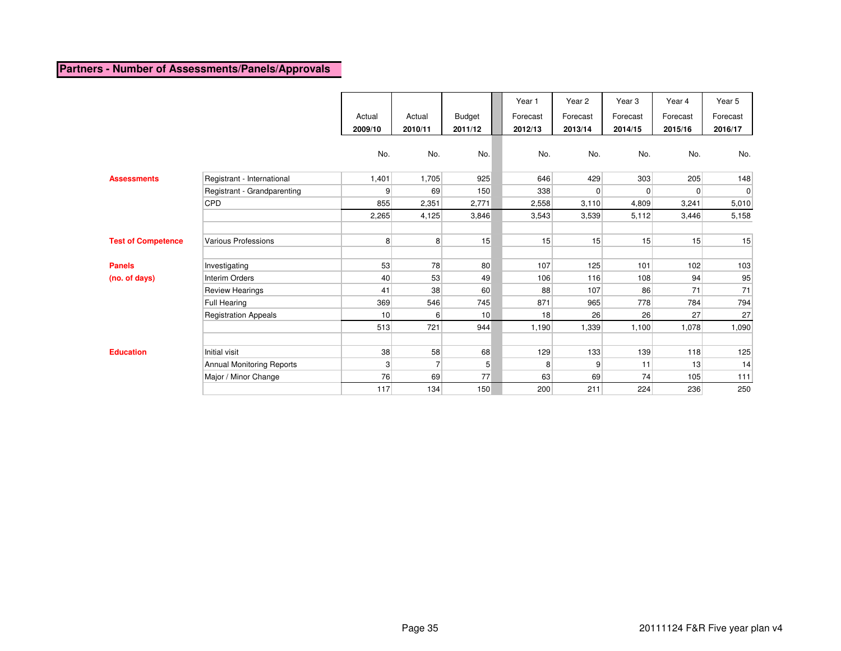# **Partners - Number of Assessments/Panels/Approvals**

|                           |                             | Actual<br>2009/10 | Actual<br>2010/11 | Budget<br>2011/12 | Year 1<br>Forecast<br>2012/13 | Year 2<br>Forecast<br>2013/14 | Year <sub>3</sub><br>Forecast<br>2014/15 | Year 4<br>Forecast<br>2015/16 | Year 5<br>Forecast<br>2016/17 |
|---------------------------|-----------------------------|-------------------|-------------------|-------------------|-------------------------------|-------------------------------|------------------------------------------|-------------------------------|-------------------------------|
|                           |                             | No.               | No.               | No.               | No.                           | No.                           | No.                                      | No.                           | No.                           |
| <b>Assessments</b>        | Registrant - International  | 1,401             | 1,705             | 925               | 646                           | 429                           | 303                                      | 205                           | 148                           |
|                           | Registrant - Grandparenting | 9                 | 69                | 150               | 338                           | $\overline{0}$                | $\Omega$                                 | $\overline{0}$                | $\pmb{0}$                     |
|                           | CPD                         | 855               | 2,351             | 2,771             | 2,558                         | 3,110                         | 4,809                                    | 3,241                         | 5,010                         |
|                           |                             | 2,265             | 4,125             | 3,846             | 3,543                         | 3,539                         | 5,112                                    | 3,446                         | 5,158                         |
|                           |                             |                   |                   |                   |                               |                               |                                          |                               |                               |
| <b>Test of Competence</b> | Various Professions         | 8                 | 8 <sup>1</sup>    | 15                | 15                            | 15                            | 15                                       | 15                            | 15                            |
|                           |                             |                   |                   |                   |                               |                               |                                          |                               |                               |
| <b>Panels</b>             | Investigating               | 53                | 78                | 80                | 107                           | 125                           | 101                                      | 102                           | 103                           |
| (no. of days)             | <b>Interim Orders</b>       | 40                | 53                | 49                | 106                           | 116                           | 108                                      | 94                            | 95                            |
|                           | <b>Review Hearings</b>      | 41                | 38                | 60                | 88                            | 107                           | 86                                       | 71                            | 71                            |
|                           | Full Hearing                | 369               | 546               | 745               | 871                           | 965                           | 778                                      | 784                           | 794                           |
|                           | <b>Registration Appeals</b> | 10                | $6 \mid$          | 10                | 18                            | 26                            | 26                                       | 27                            | 27                            |
|                           |                             | 513               | 721               | 944               | 1,190                         | 1,339                         | 1,100                                    | 1,078                         | 1,090                         |
|                           |                             |                   |                   |                   |                               |                               |                                          |                               |                               |
| <b>Education</b>          | <b>Initial visit</b>        | 38                | 58                | 68                | 129                           | 133                           | 139                                      | 118                           | 125                           |
|                           | Annual Monitoring Reports   | 3                 | $\overline{7}$    | 5                 | 8                             | 9                             | 11                                       | 13                            | 14                            |
|                           | Major / Minor Change        | 76                | 69                | 77                | 63                            | 69                            | 74                                       | 105                           | $111$                         |
|                           |                             | 117               | 134               | 150               | 200                           | 211                           | 224                                      | 236                           | 250                           |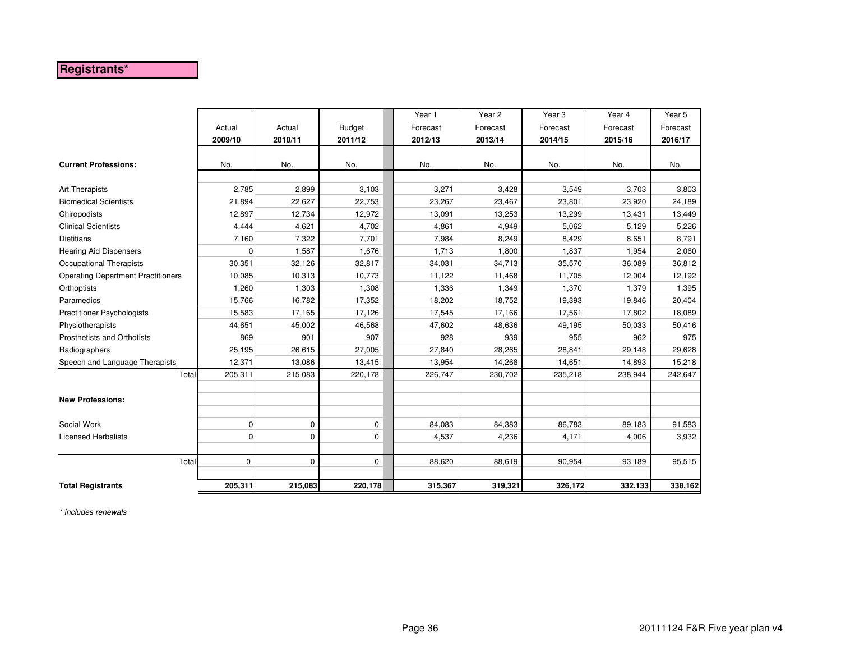# **Registrants\***

|                                           |             |             |               | Year 1   | Year <sub>2</sub> | Year <sub>3</sub> | Year 4   | Year 5   |
|-------------------------------------------|-------------|-------------|---------------|----------|-------------------|-------------------|----------|----------|
|                                           |             |             |               |          |                   |                   |          |          |
|                                           | Actual      | Actual      | <b>Budget</b> | Forecast | Forecast          | Forecast          | Forecast | Forecast |
|                                           | 2009/10     | 2010/11     | 2011/12       | 2012/13  | 2013/14           | 2014/15           | 2015/16  | 2016/17  |
| <b>Current Professions:</b>               | No.         | No.         | No.           | No.      | No.               | No.               | No.      | No.      |
| Art Therapists                            | 2,785       | 2,899       | 3,103         | 3,271    | 3,428             | 3,549             | 3,703    | 3,803    |
| <b>Biomedical Scientists</b>              | 21,894      | 22,627      | 22,753        | 23,267   | 23,467            | 23,801            | 23,920   | 24,189   |
| Chiropodists                              | 12,897      | 12,734      | 12,972        | 13,091   | 13,253            | 13,299            | 13,431   | 13,449   |
| <b>Clinical Scientists</b>                | 4,444       | 4,621       | 4,702         | 4,861    | 4,949             | 5,062             | 5,129    | 5,226    |
| <b>Dietitians</b>                         | 7,160       | 7,322       | 7,701         | 7,984    | 8,249             | 8,429             | 8,651    | 8,791    |
| <b>Hearing Aid Dispensers</b>             | $\Omega$    | 1,587       | 1,676         | 1,713    | 1,800             | 1,837             | 1,954    | 2,060    |
| Occupational Therapists                   | 30,351      | 32,126      | 32,817        | 34,031   | 34,713            | 35,570            | 36,089   | 36,812   |
| <b>Operating Department Practitioners</b> | 10,085      | 10,313      | 10,773        | 11,122   | 11,468            | 11,705            | 12,004   | 12,192   |
| Orthoptists                               | 1,260       | 1,303       | 1,308         | 1,336    | 1,349             | 1,370             | 1,379    | 1,395    |
| Paramedics                                | 15,766      | 16,782      | 17,352        | 18,202   | 18,752            | 19,393            | 19,846   | 20,404   |
| <b>Practitioner Psychologists</b>         | 15,583      | 17,165      | 17,126        | 17,545   | 17,166            | 17,561            | 17,802   | 18,089   |
| Physiotherapists                          | 44,651      | 45,002      | 46,568        | 47,602   | 48,636            | 49,195            | 50,033   | 50,416   |
| Prosthetists and Orthotists               | 869         | 901         | 907           | 928      | 939               | 955               | 962      | 975      |
| Radiographers                             | 25,195      | 26,615      | 27,005        | 27,840   | 28,265            | 28,841            | 29,148   | 29,628   |
| Speech and Language Therapists            | 12,371      | 13,086      | 13,415        | 13,954   | 14,268            | 14,651            | 14,893   | 15,218   |
| Total                                     | 205,311     | 215,083     | 220,178       | 226,747  | 230,702           | 235,218           | 238,944  | 242,647  |
|                                           |             |             |               |          |                   |                   |          |          |
| <b>New Professions:</b>                   |             |             |               |          |                   |                   |          |          |
|                                           |             |             |               |          |                   |                   |          |          |
| Social Work                               | $\mathbf 0$ | 0           | 0             | 84,083   | 84,383            | 86,783            | 89,183   | 91,583   |
| <b>Licensed Herbalists</b>                | $\Omega$    | 0           | $\mathbf 0$   | 4,537    | 4,236             | 4,171             | 4,006    | 3,932    |
| Total                                     | $\mathbf 0$ | $\mathbf 0$ | 0             | 88,620   | 88,619            | 90.954            | 93,189   | 95,515   |
| <b>Total Registrants</b>                  | 205,311     | 215,083     | 220,178       | 315,367  | 319,321           | 326,172           | 332,133  | 338,162  |

\* includes renewals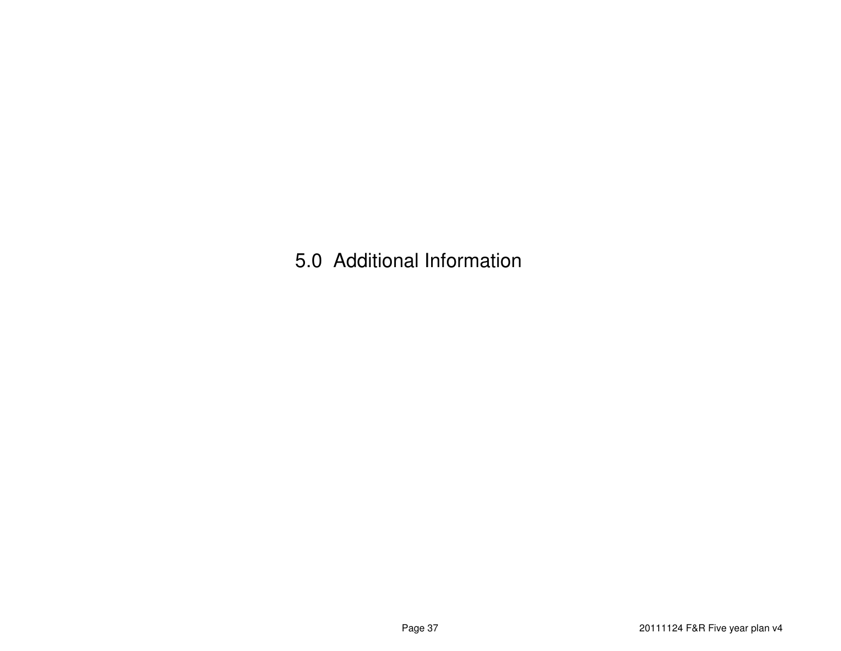5.0 Additional Information